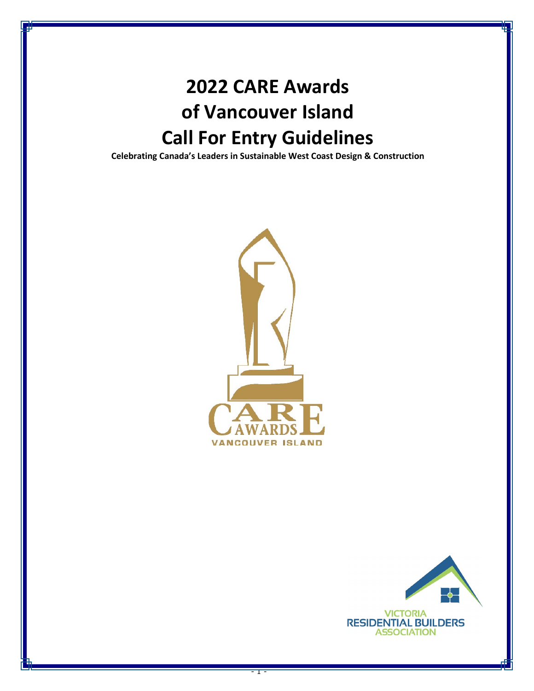# **2022 CARE Awards of Vancouver Island Call For Entry Guidelines**

**Celebrating Canada's Leaders in Sustainable West Coast Design & Construction**



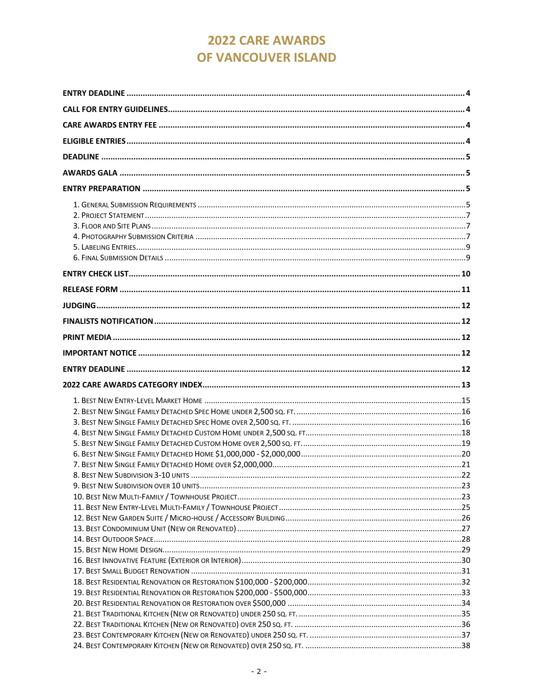## **2022 CARE AWARDS** OF VANCOUVER ISLAND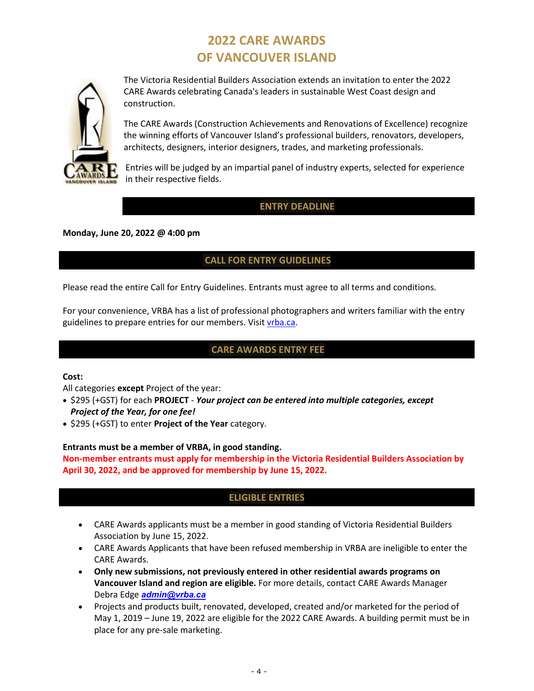## **2022 CARE AWARDS OF VANCOUVER ISLAND**



The Victoria Residential Builders Association extends an invitation to enter the 2022 CARE Awards celebrating Canada's leaders in sustainable West Coast design and construction.

The CARE Awards (Construction Achievements and Renovations of Excellence) recognize the winning efforts of Vancouver Island's professional builders, renovators, developers, architects, designers, interior designers, trades, and marketing professionals.

<span id="page-3-0"></span>Entries will be judged by an impartial panel of industry experts, selected for experience in their respective fields.

## **ENTRY DEADLINE**

**Monday, June 20, 2022 @ 4:00 pm**

## <span id="page-3-1"></span>**CALL FOR ENTRY GUIDELINES**

Please read the entire Call for Entry Guidelines. Entrants must agree to all terms and conditions.

For your convenience, VRBA has a list of professional photographers and writers familiar with the entry guidelines to prepare entries for our members. Visit [vrba.ca.](http://www.vrba.ca/)

## <span id="page-3-2"></span>**CARE AWARDS ENTRY FEE**

#### **Cost:**

All categories **except** Project of the year:

- \$295 (+GST) for each **PROJECT** *Your project can be entered into multiple categories, except Project of the Year, for one fee!*
- \$295 (+GST) to enter **Project of the Year** category.

**Entrants must be a member of VRBA, in good standing.**

<span id="page-3-3"></span>**Non-member entrants must apply for membership in the Victoria Residential Builders Association by April 30, 2022, and be approved for membership by June 15, 2022.**

## **ELIGIBLE ENTRIES**

- CARE Awards applicants must be a member in good standing of Victoria Residential Builders Association by June 15, 2022.
- CARE Awards Applicants that have been refused membership in VRBA are ineligible to enter the CARE Awards.
- **Only new submissions, not previously entered in other residential awards programs on Vancouver Island and region are eligible.** For more details, contact CARE Awards Manager Debra Edge *[admin@vrba.ca](mailto:admin@vrba.ca)*
- Projects and products built, renovated, developed, created and/or marketed for the period of May 1, 2019 – June 19, 2022 are eligible for the 2022 CARE Awards. A building permit must be in place for any pre-sale marketing.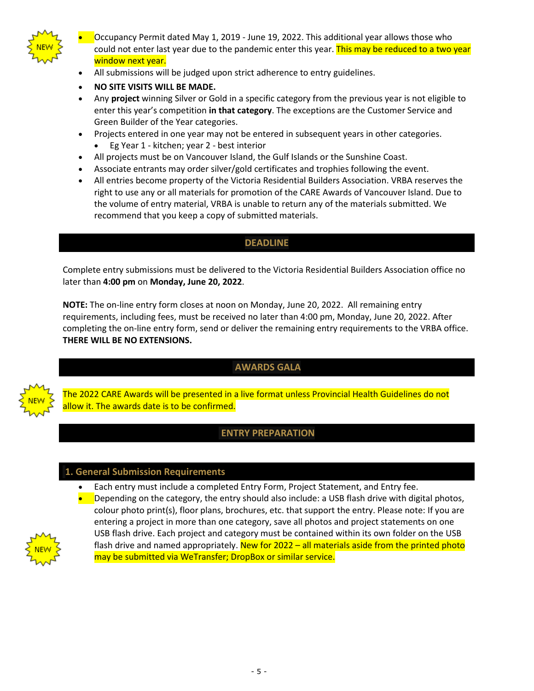

• Occupancy Permit dated May 1, 2019 - June 19, 2022. This additional year allows those who could not enter last year due to the pandemic enter this year. This may be reduced to a two year window next year.

- All submissions will be judged upon strict adherence to entry guidelines.
- **NO SITE VISITS WILL BE MADE.**
- Any **project** winning Silver or Gold in a specific category from the previous year is not eligible to enter this year's competition **in that category**. The exceptions are the Customer Service and Green Builder of the Year categories.
- Projects entered in one year may not be entered in subsequent years in other categories.
	- Eg Year 1 kitchen; year 2 best interior
- All projects must be on Vancouver Island, the Gulf Islands or the Sunshine Coast.
- Associate entrants may order silver/gold certificates and trophies following the event.
- All entries become property of the Victoria Residential Builders Association. VRBA reserves the right to use any or all materials for promotion of the CARE Awards of Vancouver Island. Due to the volume of entry material, VRBA is unable to return any of the materials submitted. We recommend that you keep a copy of submitted materials.

## **DEADLINE**

<span id="page-4-0"></span>Complete entry submissions must be delivered to the Victoria Residential Builders Association office no later than **4:00 pm** on **Monday, June 20, 2022**.

**NOTE:** The on-line entry form closes at noon on Monday, June 20, 2022. All remaining entry requirements, including fees, must be received no later than 4:00 pm, Monday, June 20, 2022. After completing the on-line entry form, send or deliver the remaining entry requirements to the VRBA office. **THERE WILL BE NO EXTENSIONS.** 



<span id="page-4-1"></span>**AWARDS GALA**

The 2022 CARE Awards will be presented in a live format unless Provincial Health Guidelines do not allow it. The awards date is to be confirmed.

## <span id="page-4-2"></span>**ENTRY PREPARATION**

#### <span id="page-4-3"></span>**1. General Submission Requirements**

- Each entry must include a completed Entry Form, Project Statement, and Entry fee.
- Depending on the category, the entry should also include: a USB flash drive with digital photos, colour photo print(s), floor plans, brochures, etc. that support the entry. Please note: If you are entering a project in more than one category, save all photos and project statements on one USB flash drive. Each project and category must be contained within its own folder on the USB flash drive and named appropriately. New for 2022 – all materials aside from the printed photo may be submitted via WeTransfer; DropBox or similar service.

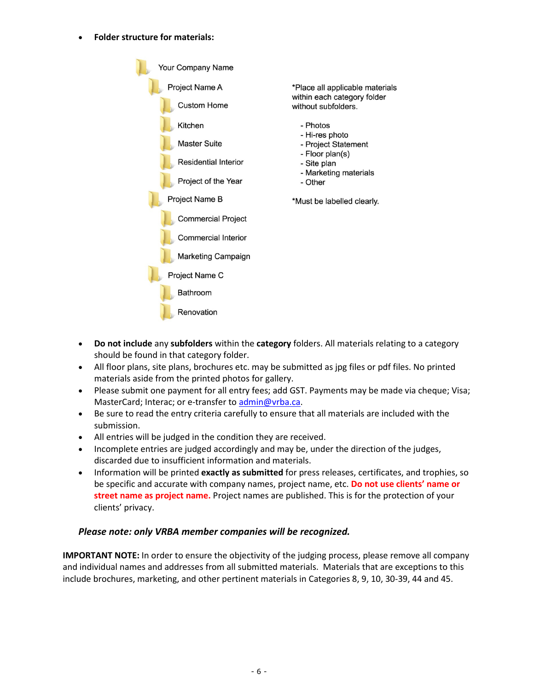#### • **Folder structure for materials:**



- **Do not include** any **subfolders** within the **category** folders. All materials relating to a category should be found in that category folder.
- All floor plans, site plans, brochures etc. may be submitted as jpg files or pdf files. No printed materials aside from the printed photos for gallery.
- Please submit one payment for all entry fees; add GST. Payments may be made via cheque; Visa; MasterCard; Interac; or e-transfer to [admin@vrba.ca.](mailto:admin@vrba.ca)
- Be sure to read the entry criteria carefully to ensure that all materials are included with the submission.
- All entries will be judged in the condition they are received.
- Incomplete entries are judged accordingly and may be, under the direction of the judges, discarded due to insufficient information and materials.
- Information will be printed **exactly as submitted** for press releases, certificates, and trophies, so be specific and accurate with company names, project name, etc. **Do not use clients' name or street name as project name.** Project names are published. This is for the protection of your clients' privacy.

## *Please note: only VRBA member companies will be recognized.*

**IMPORTANT NOTE:** In order to ensure the objectivity of the judging process, please remove all company and individual names and addresses from all submitted materials. Materials that are exceptions to this include brochures, marketing, and other pertinent materials in Categories 8, 9, 10, 30-39, 44 and 45.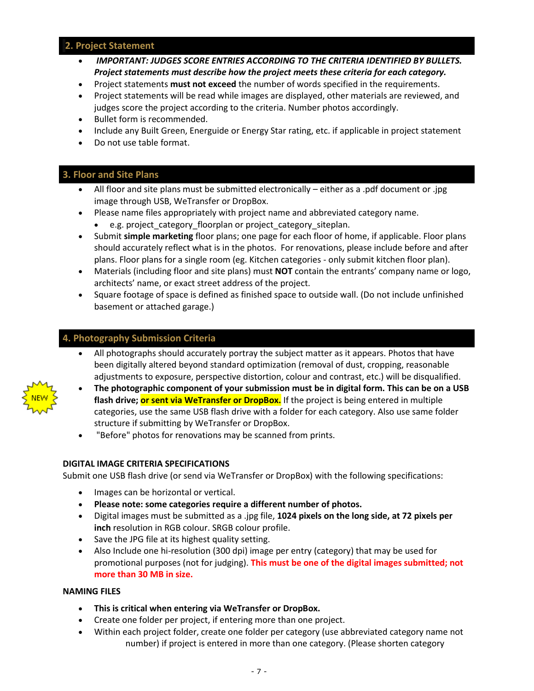## <span id="page-6-0"></span>**2. Project Statement**

- *IMPORTANT: JUDGES SCORE ENTRIES ACCORDING TO THE CRITERIA IDENTIFIED BY BULLETS. Project statements must describe how the project meets these criteria for each category.*
- Project statements **must not exceed** the number of words specified in the requirements.
- Project statements will be read while images are displayed, other materials are reviewed, and judges score the project according to the criteria. Number photos accordingly.
- Bullet form is recommended.
- Include any Built Green, Energuide or Energy Star rating, etc. if applicable in project statement
- Do not use table format.

## <span id="page-6-1"></span>**3. Floor and Site Plans**

- All floor and site plans must be submitted electronically either as a .pdf document or .jpg image through USB, WeTransfer or DropBox.
- Please name files appropriately with project name and abbreviated category name.
	- e.g. project\_category\_floorplan or project\_category\_siteplan.
- Submit **simple marketing** floor plans; one page for each floor of home, if applicable. Floor plans should accurately reflect what is in the photos. For renovations, please include before and after plans. Floor plans for a single room (eg. Kitchen categories - only submit kitchen floor plan).
- Materials (including floor and site plans) must **NOT** contain the entrants' company name or logo, architects' name, or exact street address of the project.
- Square footage of space is defined as finished space to outside wall. (Do not include unfinished basement or attached garage.)

## <span id="page-6-2"></span>**4. Photography Submission Criteria**

- All photographs should accurately portray the subject matter as it appears. Photos that have been digitally altered beyond standard optimization (removal of dust, cropping, reasonable adjustments to exposure, perspective distortion, colour and contrast, etc.) will be disqualified.
- **The photographic component of your submission must be in digital form. This can be on a USB**
- flash drive; or sent via WeTransfer or DropBox. If the project is being entered in multiple categories, use the same USB flash drive with a folder for each category. Also use same folder structure if submitting by WeTransfer or DropBox.
- "Before" photos for renovations may be scanned from prints.

#### **DIGITAL IMAGE CRITERIA SPECIFICATIONS**

Submit one USB flash drive (or send via WeTransfer or DropBox) with the following specifications:

- Images can be horizontal or vertical.
- **Please note: some categories require a different number of photos.**
- Digital images must be submitted as a .jpg file, **1024 pixels on the long side, at 72 pixels per inch** resolution in RGB colour. SRGB colour profile.
- Save the JPG file at its highest quality setting.
- Also Include one hi-resolution (300 dpi) image per entry (category) that may be used for promotional purposes (not for judging). **This must be one of the digital images submitted; not more than 30 MB in size.**

#### **NAMING FILES**

- **This is critical when entering via WeTransfer or DropBox.**
- Create one folder per project, if entering more than one project.
- Within each project folder, create one folder per category (use abbreviated category name not number) if project is entered in more than one category. (Please shorten category

- 7 -

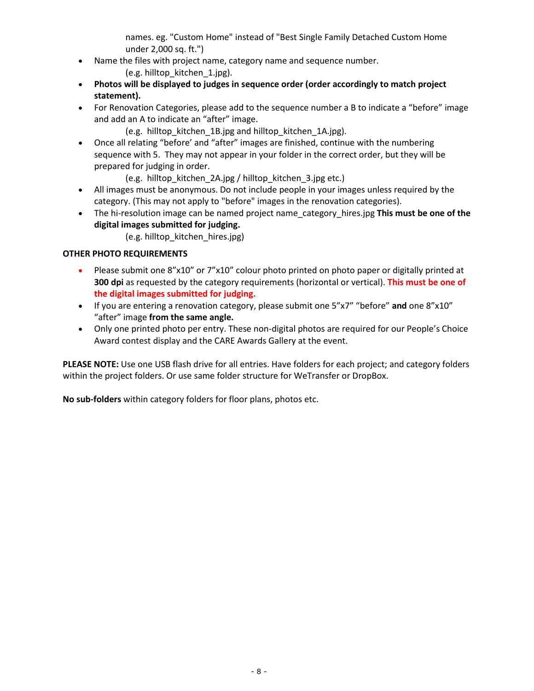names. eg. "Custom Home" instead of "Best Single Family Detached Custom Home under 2,000 sq. ft.")

- Name the files with project name, category name and sequence number. (e.g. hilltop\_kitchen\_1.jpg).
- **Photos will be displayed to judges in sequence order (order accordingly to match project statement).**
- For Renovation Categories, please add to the sequence number a B to indicate a "before" image and add an A to indicate an "after" image.

(e.g. hilltop\_kitchen\_1B.jpg and hilltop\_kitchen\_1A.jpg).

• Once all relating "before' and "after" images are finished, continue with the numbering sequence with 5. They may not appear in your folder in the correct order, but they will be prepared for judging in order.

(e.g. hilltop\_kitchen\_2A.jpg / hilltop\_kitchen\_3.jpg etc.)

- All images must be anonymous. Do not include people in your images unless required by the category. (This may not apply to "before" images in the renovation categories).
- The hi-resolution image can be named project name category hires.jpg **This must be one of the digital images submitted for judging.**
	- (e.g. hilltop\_kitchen\_hires.jpg)

## **OTHER PHOTO REQUIREMENTS**

- Please submit one 8"x10" or 7"x10" colour photo printed on photo paper or digitally printed at **300 dpi** as requested by the category requirements (horizontal or vertical). **This must be one of the digital images submitted for judging.**
- If you are entering a renovation category, please submit one 5"x7" "before" **and** one 8"x10" "after" image **from the same angle.**
- Only one printed photo per entry. These non-digital photos are required for our People's Choice Award contest display and the CARE Awards Gallery at the event.

**PLEASE NOTE:** Use one USB flash drive for all entries. Have folders for each project; and category folders within the project folders. Or use same folder structure for WeTransfer or DropBox.

**No sub-folders** within category folders for floor plans, photos etc.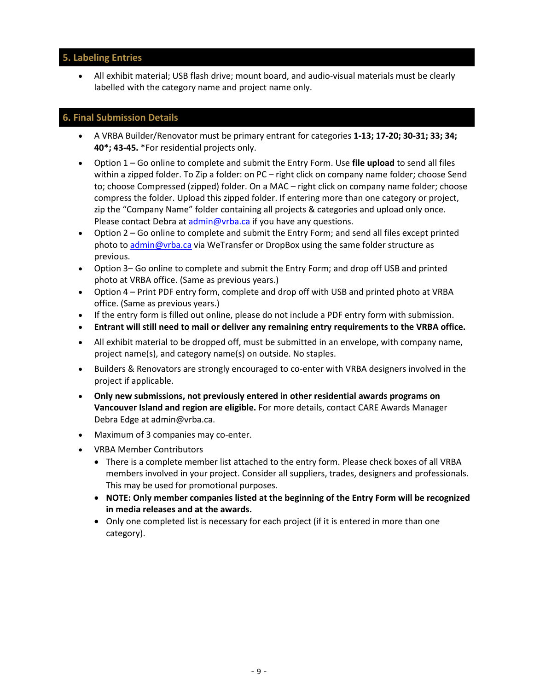## <span id="page-8-0"></span>**5. Labeling Entries**

• All exhibit material; USB flash drive; mount board, and audio-visual materials must be clearly labelled with the category name and project name only.

#### <span id="page-8-1"></span>**6. Final Submission Details**

- A VRBA Builder/Renovator must be primary entrant for categories **1-13; 17-20; 30-31; 33; 34; 40\*; 43-45.** \*For residential projects only.
- Option 1 Go online to complete and submit the Entry Form. Use **file upload** to send all files within a zipped folder. To Zip a folder: on PC – right click on company name folder; choose Send to; choose Compressed (zipped) folder. On a MAC – right click on company name folder; choose compress the folder. Upload this zipped folder. If entering more than one category or project, zip the "Company Name" folder containing all projects & categories and upload only once. Please contact Debra at [admin@vrba.ca](mailto:admin@vrba.ca) if you have any questions.
- Option 2 Go online to complete and submit the Entry Form; and send all files except printed photo to [admin@vrba.ca](mailto:admin@vrba.ca) via WeTransfer or DropBox using the same folder structure as previous.
- Option 3– Go online to complete and submit the Entry Form; and drop off USB and printed photo at VRBA office. (Same as previous years.)
- Option 4 Print PDF entry form, complete and drop off with USB and printed photo at VRBA office. (Same as previous years.)
- If the entry form is filled out online, please do not include a PDF entry form with submission.
- **Entrant will still need to mail or deliver any remaining entry requirements to the VRBA office.**
- All exhibit material to be dropped off, must be submitted in an envelope, with company name, project name(s), and category name(s) on outside. No staples.
- Builders & Renovators are strongly encouraged to co-enter with VRBA designers involved in the project if applicable.
- **Only new submissions, not previously entered in other residential awards programs on Vancouver Island and region are eligible.** For more details, contact CARE Awards Manager Debra Edge at [admin@vrba.ca.](mailto:admin@vrba.ca)
- Maximum of 3 companies may co-enter.
- VRBA Member Contributors
	- There is a complete member list attached to the entry form. Please check boxes of all VRBA members involved in your project. Consider all suppliers, trades, designers and professionals. This may be used for promotional purposes.
	- **NOTE: Only member companies listed at the beginning of the Entry Form will be recognized in media releases and at the awards.**
	- Only one completed list is necessary for each project (if it is entered in more than one category).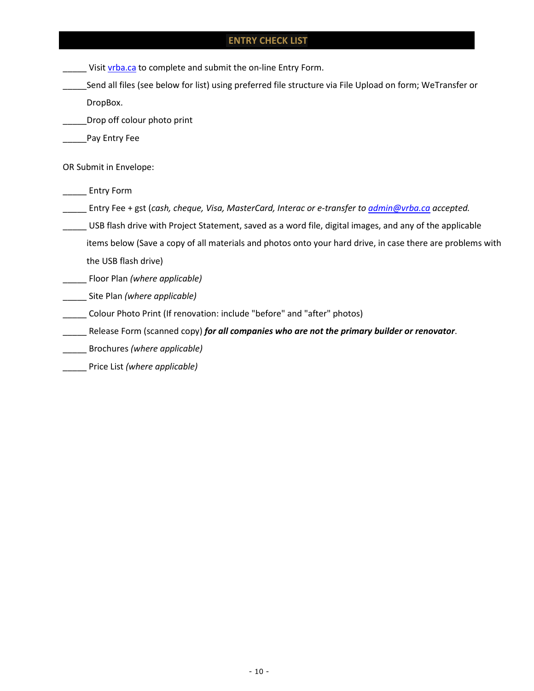## <span id="page-9-0"></span>**ENTRY CHECK LIST**

Visit *vrba.ca* to complete and submit the on-line Entry Form.

- \_\_\_\_\_Send all files (see below for list) using preferred file structure via File Upload on form; WeTransfer or DropBox.
- \_\_\_\_\_Drop off colour photo print
- \_\_\_\_\_Pay Entry Fee

OR Submit in Envelope:

- \_\_\_\_\_ Entry Form
- \_\_\_\_\_ Entry Fee + gst (*cash, cheque, Visa, MasterCard, Interac or e-transfer to [admin@vrba.ca](mailto:admin@vrba.ca) accepted.*
- \_\_\_\_\_ USB flash drive with Project Statement, saved as a word file, digital images, and any of the applicable
	- items below (Save a copy of all materials and photos onto your hard drive, in case there are problems with the USB flash drive)
- \_\_\_\_\_ Floor Plan *(where applicable)*
- \_\_\_\_\_ Site Plan *(where applicable)*
- \_\_\_\_\_ Colour Photo Print (If renovation: include "before" and "after" photos)
- \_\_\_\_\_ Release Form (scanned copy) *for all companies who are not the primary builder or renovator*.
- \_\_\_\_\_ Brochures *(where applicable)*
- \_\_\_\_\_ Price List *(where applicable)*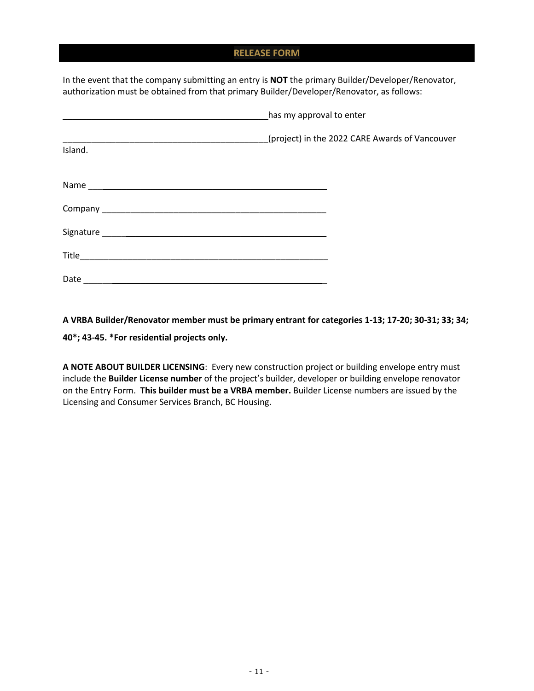## **RELEASE FORM**

<span id="page-10-0"></span>In the event that the company submitting an entry is **NOT** the primary Builder/Developer/Renovator, authorization must be obtained from that primary Builder/Developer/Renovator, as follows:

|                                                                                                                               | has my approval to enter                       |
|-------------------------------------------------------------------------------------------------------------------------------|------------------------------------------------|
| <u> 1989 - Andrea Stadt Brandenburg, Amerikaansk politiker († 1908)</u><br>Island.                                            | (project) in the 2022 CARE Awards of Vancouver |
|                                                                                                                               |                                                |
|                                                                                                                               |                                                |
|                                                                                                                               |                                                |
|                                                                                                                               |                                                |
| Date<br><u> 1989 - Johann John Stone, meil in der Stone aus der Stone aus der Stone aus der Stone aus der Stone aus der S</u> |                                                |

**A VRBA Builder/Renovator member must be primary entrant for categories 1-13; 17-20; 30-31; 33; 34; 40\*; 43-45. \*For residential projects only.**

**A NOTE ABOUT BUILDER LICENSING**: Every new construction project or building envelope entry must include the **Builder License number** of the project's builder, developer or building envelope renovator on the Entry Form. **This builder must be a VRBA member.** Builder License numbers are issued by the Licensing and Consumer Services Branch, BC Housing.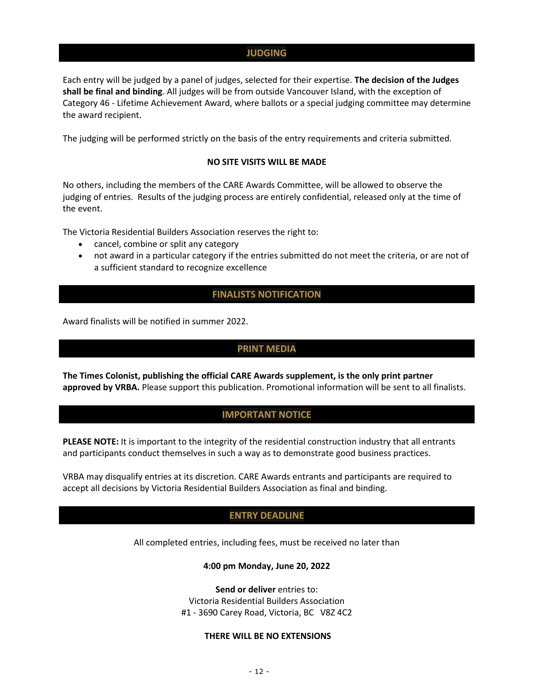#### **JUDGING**

<span id="page-11-0"></span>Each entry will be judged by a panel of judges, selected for their expertise. **The decision of the Judges shall be final and binding**. All judges will be from outside Vancouver Island, with the exception of Category 46 - Lifetime Achievement Award, where ballots or a special judging committee may determine the award recipient.

The judging will be performed strictly on the basis of the entry requirements and criteria submitted.

#### **NO SITE VISITS WILL BE MADE**

No others, including the members of the CARE Awards Committee, will be allowed to observe the judging of entries. Results of the judging process are entirely confidential, released only at the time of the event.

The Victoria Residential Builders Association reserves the right to:

- cancel, combine or split any category
- <span id="page-11-1"></span>• not award in a particular category if the entries submitted do not meet the criteria, or are not of a sufficient standard to recognize excellence

## **FINALISTS NOTIFICATION**

<span id="page-11-2"></span>Award finalists will be notified in summer 2022.

#### **PRINT MEDIA**

<span id="page-11-3"></span>**The Times Colonist, publishing the official CARE Awards supplement, is the only print partner approved by VRBA.** Please support this publication. Promotional information will be sent to all finalists.

## **IMPORTANT NOTICE**

**PLEASE NOTE:** It is important to the integrity of the residential construction industry that all entrants and participants conduct themselves in such a way as to demonstrate good business practices.

<span id="page-11-4"></span>VRBA may disqualify entries at its discretion. CARE Awards entrants and participants are required to accept all decisions by Victoria Residential Builders Association as final and binding.

#### **ENTRY DEADLINE**

All completed entries, including fees, must be received no later than

#### **4:00 pm Monday, June 20, 2022**

#### **Send or deliver** entries to:

Victoria Residential Builders Association #1 - 3690 Carey Road, Victoria, BC V8Z 4C2

#### **THERE WILL BE NO EXTENSIONS**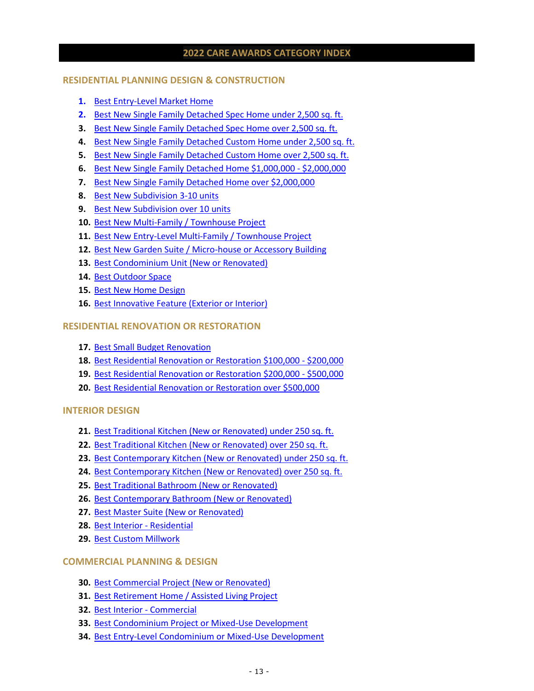## **2022 CARE AWARDS CATEGORY INDEX**

#### <span id="page-12-0"></span>**RESIDENTIAL PLANNING DESIGN & CONSTRUCTION**

- **1.** [Best Entry-Level Market Home](#page-18-1)
- **2.** [Best New Single Family Detached Spec Home under 2,500 sq. ft.](#page-14-1)
- **3.** [Best New Single Family Detached Spec Home over 2,500 sq. ft.](#page-15-2)
- **4.** Best New Single Family Detached Custom Home under 2,500 sq. ft.
- **5.** Best New [Single Family Detached Custom Home over 2,500 sq. ft.](#page-17-1)
- **6.** [Best New Single Family Detached Home \\$1,000,000 \\$2,000,000](#page-16-0)
- **7.** Best New [Single Family Detached Home over \\$2,000,000](#page-19-1)
- **8.** [Best New Subdivision 3-10 units](#page-21-1)
- **9.** [Best New Subdivision over 10 units](#page-21-2)
- **10.** [Best New Multi-Family / Townhouse Project](#page-22-2)
- **11.** [Best New Entry-Level Multi-Family / Townhouse Project](#page-23-0)
- **12.** [Best New Garden Suite / Micro-house](#page-24-1) or Accessory Building
- **13.** [Best Condominium Unit](#page-25-1) (New or Renovated)
- **14.** [Best Outdoor Space](#page-26-1)
- **15.** [Best New Home Design](#page-28-1)
- **16.** [Best Innovative Feature \(Exterior or Interior\)](#page-29-1)

#### **RESIDENTIAL RENOVATION OR RESTORATION**

- **17.** [Best Small Budget Renovation](#page-30-0)
- **18.** Best Residential Renovation [or Restoration \\$100,000 \\$200,000](#page-30-1)
- **19.** [Best Residential Renovation or Restoration \\$200,000 \\$500,000](#page-32-0)
- **20.** [Best Residential Renovation or Restoration over \\$500,000](#page-32-1)

#### **INTERIOR DESIGN**

- **21.** [Best Traditional Kitchen \(New or Renovated\) under 250 sq. ft.](#page-34-0)
- **22.** [Best Traditional Kitchen \(New or Renovated\) over 250 sq. ft.](#page-35-0)
- **23.** [Best Contemporary Kitchen \(New or Renovated\) under 250 sq. ft.](#page-36-0)
- **24.** [Best Contemporary Kitchen \(New or Renovated\) over 250 sq. ft.](#page-37-0)
- **25.** [Best Traditional Bathroom \(New or Renovated\)](#page-38-1)
- **26.** [Best Contemporary Bathroom \(New or Renovated\)](#page-38-2)
- **27.** [Best Master Suite \(New or Renovated\)](#page-40-0)
- **28.** [Best Interior Residential](#page-41-0)
- **29.** [Best Custom Millwork](#page-42-0)

#### **COMMERCIAL PLANNING & DESIGN**

- **30.** [Best Commercial Project \(New or Renovated\)](#page-43-1)
- **31.** [Best Retirement Home / Assisted Living](#page-44-1) Project
- **32.** [Best Interior Commercial](#page-45-0)
- **33.** [Best Condominium Project or Mixed-Use Development](#page-46-0)
- **34.** [Best Entry-Level Condominium or Mixed-Use Development](#page-46-1)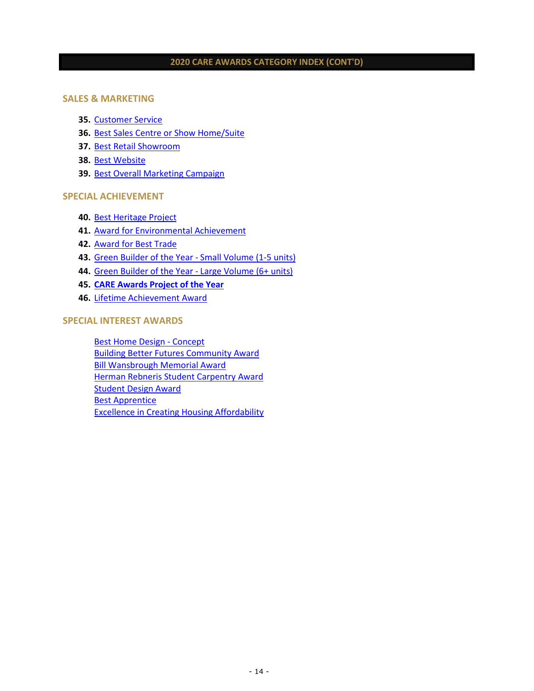#### **2020 CARE AWARDS CATEGORY INDEX (CONT'D)**

#### **SALES & MARKETING**

- **35.** [Customer Service](#page-48-1)
- **36.** [Best Sales Centre or Show Home/Suite](#page-49-1)
- **37.** [Best Retail Showroom](#page-50-1)
- **38.** [Best Website](#page-51-1)
- **39.** [Best Overall Marketing Campaign](#page-52-1)

#### **SPECIAL ACHIEVEMENT**

- **40.** [Best Heritage Project](#page-53-1)
- **41.** [Award for Environmental Achievement](#page-53-2)
- **42.** [Award for Best Trade](#page-55-0)
- **43.** [Green Builder of the Year Small Volume \(1-5 units\)](#page-56-0)
- **44.** [Green Builder of the Year Large Volume \(6+ units\)](#page-57-1)
- **45. [CARE Awards Project of the Year](#page-57-2)**
- **46.** [Lifetime Achievement Award](#page-58-1)

#### **SPECIAL INTEREST AWARDS**

[Best Home Design - Concept](#page-61-0) [Building Better Futures Community Award](#page-62-0) [Bill Wansbrough Memorial Award](#page-62-0) [Herman Rebneris Student Carpentry Award](https://www.vrba.ca/wp-content/uploads/Herman-Rebneris-Student-Carpentry-Award-application.pdf) [Student Design Award](https://www.vrba.ca/wp-content/uploads/Student-Design-Award-application.pdf) [Best Apprentice](#page-64-0) [Excellence in Creating Housing Affordability](#page-65-0)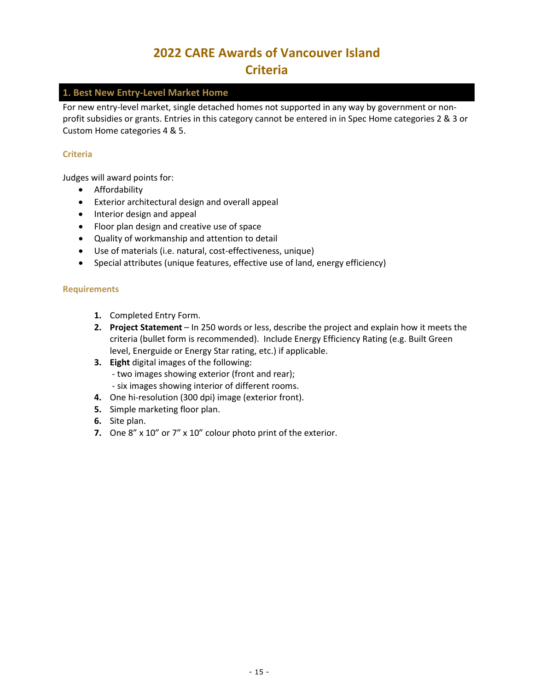## **2022 CARE Awards of Vancouver Island**

## **Criteria**

## <span id="page-14-0"></span>**1. Best New Entry-Level Market Home**

For new entry-level market, single detached homes not supported in any way by government or nonprofit subsidies or grants. Entries in this category cannot be entered in in Spec Home categories 2 & 3 or Custom Home categories 4 & 5.

## **Criteria**

Judges will award points for:

- Affordability
- Exterior architectural design and overall appeal
- Interior design and appeal
- Floor plan design and creative use of space
- Quality of workmanship and attention to detail
- Use of materials (i.e. natural, cost-effectiveness, unique)
- Special attributes (unique features, effective use of land, energy efficiency)

- <span id="page-14-1"></span>**1.** Completed Entry Form.
- **2. Project Statement** In 250 words or less, describe the project and explain how it meets the criteria (bullet form is recommended). Include Energy Efficiency Rating (e.g. Built Green level, Energuide or Energy Star rating, etc.) if applicable.
- **3. Eight** digital images of the following: - two images showing exterior (front and rear); - six images showing interior of different rooms.
- **4.** One hi-resolution (300 dpi) image (exterior front).
- **5.** Simple marketing floor plan.
- **6.** Site plan.
- **7.** One 8" x 10" or 7" x 10" colour photo print of the exterior.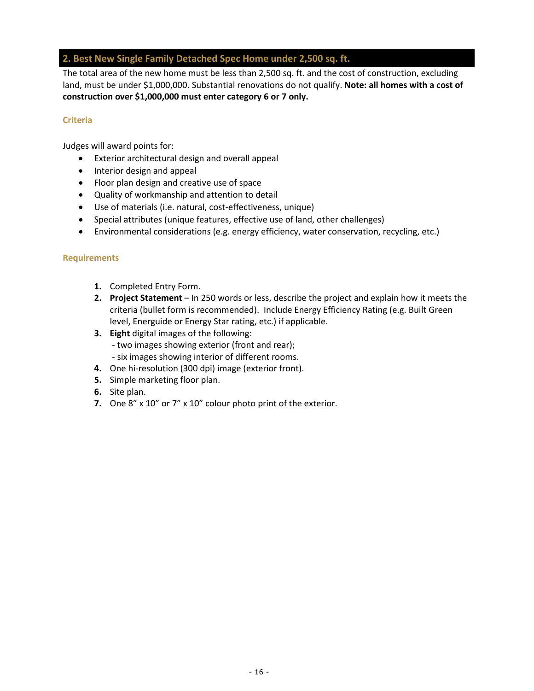## <span id="page-15-0"></span>**2. Best New Single Family Detached Spec Home under 2,500 sq. ft.**

The total area of the new home must be less than 2,500 sq. ft. and the cost of construction, excluding land, must be under \$1,000,000. Substantial renovations do not qualify. **Note: all homes with a cost of construction over \$1,000,000 must enter category 6 or 7 only.**

#### **Criteria**

Judges will award points for:

- Exterior architectural design and overall appeal
- Interior design and appeal
- Floor plan design and creative use of space
- Quality of workmanship and attention to detail
- Use of materials (i.e. natural, cost-effectiveness, unique)
- Special attributes (unique features, effective use of land, other challenges)
- Environmental considerations (e.g. energy efficiency, water conservation, recycling, etc.)

- <span id="page-15-2"></span>**1.** Completed Entry Form.
- **2. Project Statement** In 250 words or less, describe the project and explain how it meets the criteria (bullet form is recommended). Include Energy Efficiency Rating (e.g. Built Green level, Energuide or Energy Star rating, etc.) if applicable.
- **3. Eight** digital images of the following: - two images showing exterior (front and rear); - six images showing interior of different rooms.
- <span id="page-15-1"></span>**4.** One hi-resolution (300 dpi) image (exterior front).
- **5.** Simple marketing floor plan.
- **6.** Site plan.
- **7.** One 8" x 10" or 7" x 10" colour photo print of the exterior.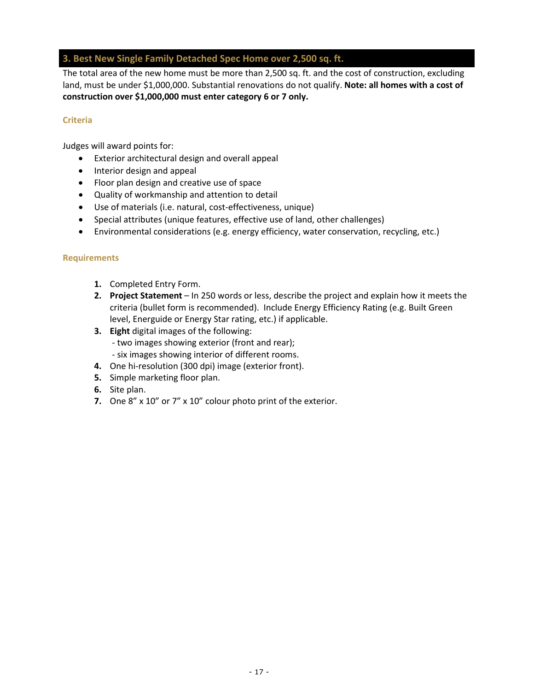## **3. Best New Single Family Detached Spec Home over 2,500 sq. ft.**

The total area of the new home must be more than 2,500 sq. ft. and the cost of construction, excluding land, must be under \$1,000,000. Substantial renovations do not qualify. **Note: all homes with a cost of construction over \$1,000,000 must enter category 6 or 7 only.**

#### **Criteria**

Judges will award points for:

- Exterior architectural design and overall appeal
- Interior design and appeal
- Floor plan design and creative use of space
- Quality of workmanship and attention to detail
- Use of materials (i.e. natural, cost-effectiveness, unique)
- Special attributes (unique features, effective use of land, other challenges)
- Environmental considerations (e.g. energy efficiency, water conservation, recycling, etc.)

- <span id="page-16-0"></span>**1.** Completed Entry Form.
- **2. Project Statement** In 250 words or less, describe the project and explain how it meets the criteria (bullet form is recommended). Include Energy Efficiency Rating (e.g. Built Green level, Energuide or Energy Star rating, etc.) if applicable.
- **3. Eight** digital images of the following:
	- two images showing exterior (front and rear);
		- six images showing interior of different rooms.
- **4.** One hi-resolution (300 dpi) image (exterior front).
- **5.** Simple marketing floor plan.
- **6.** Site plan.
- **7.** One 8" x 10" or 7" x 10" colour photo print of the exterior.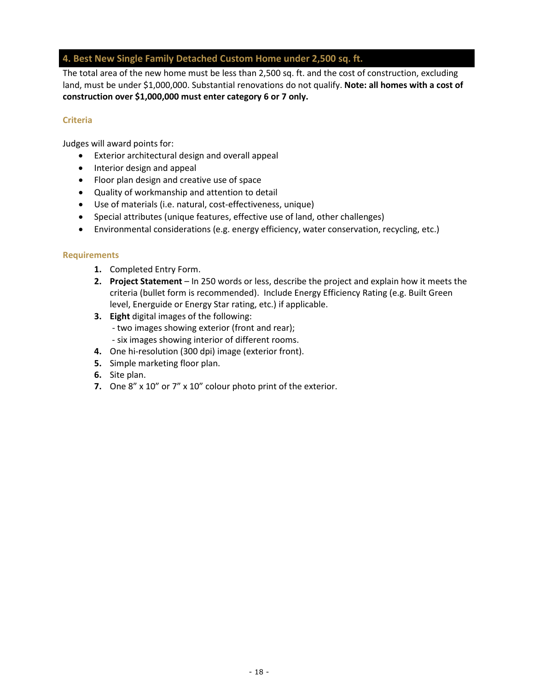## <span id="page-17-0"></span>**4. Best New Single Family Detached Custom Home under 2,500 sq. ft.**

The total area of the new home must be less than 2,500 sq. ft. and the cost of construction, excluding land, must be under \$1,000,000. Substantial renovations do not qualify. **Note: all homes with a cost of construction over \$1,000,000 must enter category 6 or 7 only.** 

#### **Criteria**

Judges will award points for:

- Exterior architectural design and overall appeal
- Interior design and appeal
- Floor plan design and creative use of space
- Quality of workmanship and attention to detail
- Use of materials (i.e. natural, cost-effectiveness, unique)
- Special attributes (unique features, effective use of land, other challenges)
- Environmental considerations (e.g. energy efficiency, water conservation, recycling, etc.)

- <span id="page-17-1"></span>**1.** Completed Entry Form.
- **2. Project Statement** In 250 words or less, describe the project and explain how it meets the criteria (bullet form is recommended). Include Energy Efficiency Rating (e.g. Built Green level, Energuide or Energy Star rating, etc.) if applicable.
- **3. Eight** digital images of the following:
	- two images showing exterior (front and rear);
	- six images showing interior of different rooms.
- **4.** One hi-resolution (300 dpi) image (exterior front).
- **5.** Simple marketing floor plan.
- **6.** Site plan.
- **7.** One 8" x 10" or 7" x 10" colour photo print of the exterior.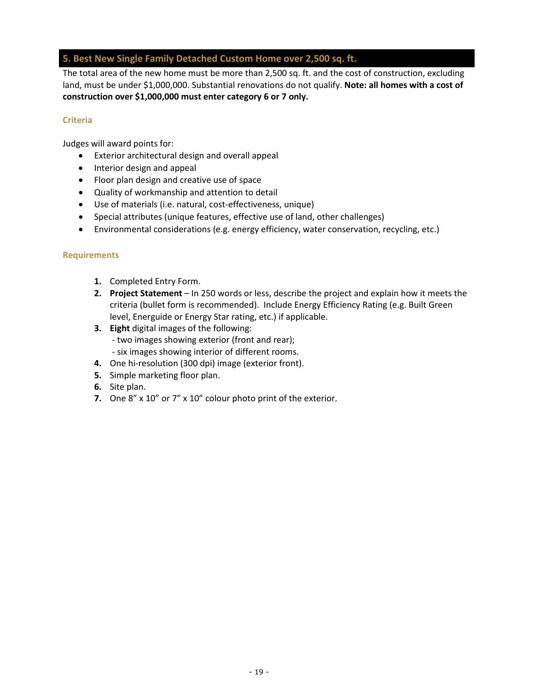## <span id="page-18-0"></span>**5. Best New Single Family Detached Custom Home over 2,500 sq. ft.**

The total area of the new home must be more than 2,500 sq. ft. and the cost of construction, excluding land, must be under \$1,000,000. Substantial renovations do not qualify. **Note: all homes with a cost of construction over \$1,000,000 must enter category 6 or 7 only.** 

#### **Criteria**

Judges will award points for:

- Exterior architectural design and overall appeal
- Interior design and appeal
- Floor plan design and creative use of space
- Quality of workmanship and attention to detail
- Use of materials (i.e. natural, cost-effectiveness, unique)
- Special attributes (unique features, effective use of land, other challenges)
- Environmental considerations (e.g. energy efficiency, water conservation, recycling, etc.)

- <span id="page-18-1"></span>**1.** Completed Entry Form.
- **2. Project Statement** In 250 words or less, describe the project and explain how it meets the criteria (bullet form is recommended). Include Energy Efficiency Rating (e.g. Built Green level, Energuide or Energy Star rating, etc.) if applicable.
- **3. Eight** digital images of the following: - two images showing exterior (front and rear); - six images showing interior of different rooms.
- **4.** One hi-resolution (300 dpi) image (exterior front).
- **5.** Simple marketing floor plan.
- **6.** Site plan.
- **7.** One 8" x 10" or 7" x 10" colour photo print of the exterior.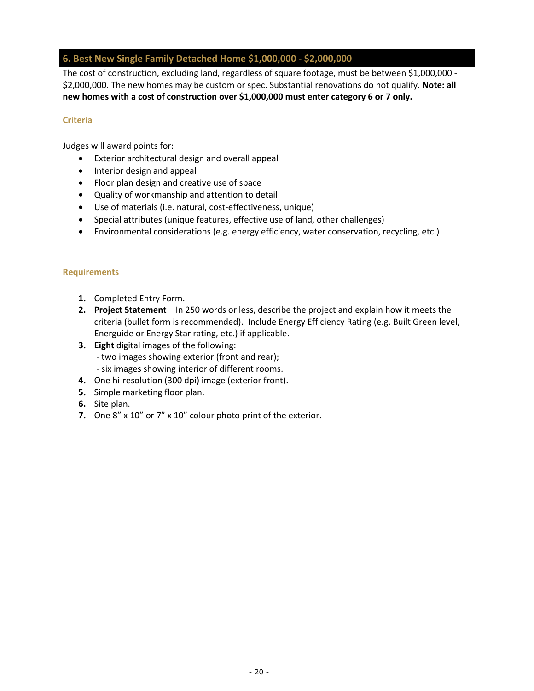## <span id="page-19-0"></span>**6. Best New Single Family Detached Home \$1,000,000 - \$2,000,000**

The cost of construction, excluding land, regardless of square footage, must be between \$1,000,000 - \$2,000,000. The new homes may be custom or spec. Substantial renovations do not qualify. **Note: all new homes with a cost of construction over \$1,000,000 must enter category 6 or 7 only.**

#### **Criteria**

Judges will award points for:

- Exterior architectural design and overall appeal
- Interior design and appeal
- Floor plan design and creative use of space
- Quality of workmanship and attention to detail
- Use of materials (i.e. natural, cost-effectiveness, unique)
- Special attributes (unique features, effective use of land, other challenges)
- Environmental considerations (e.g. energy efficiency, water conservation, recycling, etc.)

- <span id="page-19-1"></span>**1.** Completed Entry Form.
- **2. Project Statement** In 250 words or less, describe the project and explain how it meets the criteria (bullet form is recommended). Include Energy Efficiency Rating (e.g. Built Green level, Energuide or Energy Star rating, etc.) if applicable.
- **3. Eight** digital images of the following:
	- two images showing exterior (front and rear);
	- six images showing interior of different rooms.
- **4.** One hi-resolution (300 dpi) image (exterior front).
- **5.** Simple marketing floor plan.
- **6.** Site plan.
- **7.** One 8" x 10" or 7" x 10" colour photo print of the exterior.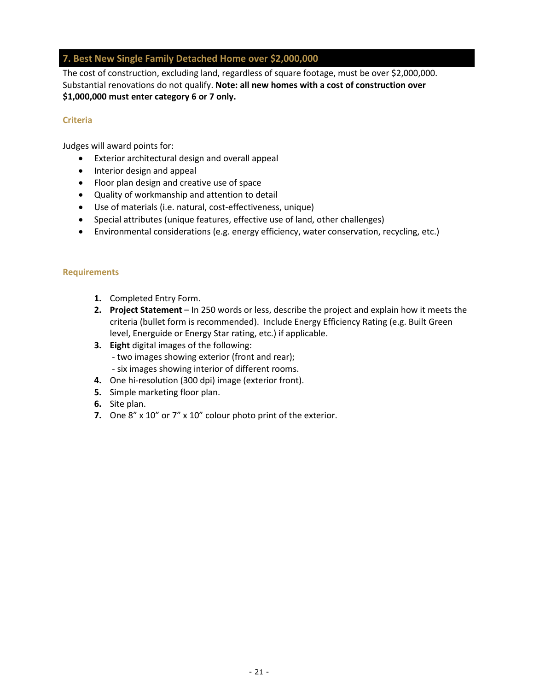## <span id="page-20-0"></span>**7. Best New Single Family Detached Home over \$2,000,000**

The cost of construction, excluding land, regardless of square footage, must be over \$2,000,000. Substantial renovations do not qualify. **Note: all new homes with a cost of construction over \$1,000,000 must enter category 6 or 7 only.**

#### **Criteria**

Judges will award points for:

- Exterior architectural design and overall appeal
- Interior design and appeal
- Floor plan design and creative use of space
- Quality of workmanship and attention to detail
- Use of materials (i.e. natural, cost-effectiveness, unique)
- Special attributes (unique features, effective use of land, other challenges)
- Environmental considerations (e.g. energy efficiency, water conservation, recycling, etc.)

- **1.** Completed Entry Form.
- **2. Project Statement** In 250 words or less, describe the project and explain how it meets the criteria (bullet form is recommended). Include Energy Efficiency Rating (e.g. Built Green level, Energuide or Energy Star rating, etc.) if applicable.
- **3. Eight** digital images of the following: - two images showing exterior (front and rear);
	- six images showing interior of different rooms.
- **4.** One hi-resolution (300 dpi) image (exterior front).
- **5.** Simple marketing floor plan.
- **6.** Site plan.
- **7.** One 8" x 10" or 7" x 10" colour photo print of the exterior.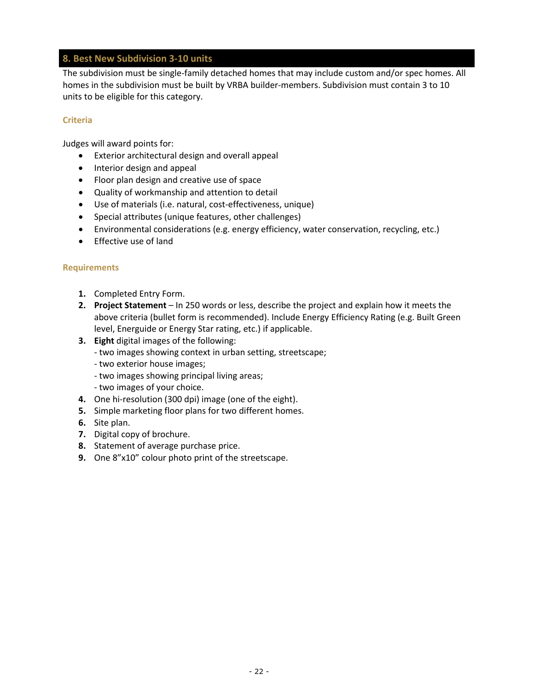## <span id="page-21-1"></span><span id="page-21-0"></span>**8. Best New Subdivision 3-10 units**

The subdivision must be single-family detached homes that may include custom and/or spec homes. All homes in the subdivision must be built by VRBA builder-members. Subdivision must contain 3 to 10 units to be eligible for this category.

#### **Criteria**

Judges will award points for:

- Exterior architectural design and overall appeal
- Interior design and appeal
- Floor plan design and creative use of space
- Quality of workmanship and attention to detail
- Use of materials (i.e. natural, cost-effectiveness, unique)
- Special attributes (unique features, other challenges)
- Environmental considerations (e.g. energy efficiency, water conservation, recycling, etc.)
- Effective use of land

- **1.** Completed Entry Form.
- **2. Project Statement**  In 250 words or less, describe the project and explain how it meets the above criteria (bullet form is recommended). Include Energy Efficiency Rating (e.g. Built Green level, Energuide or Energy Star rating, etc.) if applicable.
- **3. Eight** digital images of the following:
	- two images showing context in urban setting, streetscape;
	- two exterior house images;
	- two images showing principal living areas;
	- two images of your choice.
- **4.** One hi-resolution (300 dpi) image (one of the eight).
- **5.** Simple marketing floor plans for two different homes.
- **6.** Site plan.
- **7.** Digital copy of brochure.
- <span id="page-21-2"></span>**8.** Statement of average purchase price.
- **9.** One 8"x10" colour photo print of the streetscape.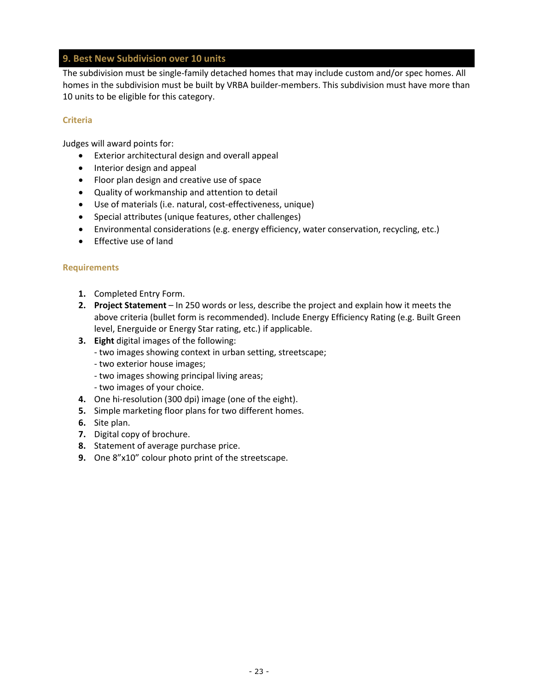## <span id="page-22-0"></span>**9. Best New Subdivision over 10 units**

The subdivision must be single-family detached homes that may include custom and/or spec homes. All homes in the subdivision must be built by VRBA builder-members. This subdivision must have more than 10 units to be eligible for this category.

#### **Criteria**

Judges will award points for:

- Exterior architectural design and overall appeal
- Interior design and appeal
- Floor plan design and creative use of space
- Quality of workmanship and attention to detail
- Use of materials (i.e. natural, cost-effectiveness, unique)
- Special attributes (unique features, other challenges)
- Environmental considerations (e.g. energy efficiency, water conservation, recycling, etc.)
- Effective use of land

- <span id="page-22-2"></span>**1.** Completed Entry Form.
- **2. Project Statement**  In 250 words or less, describe the project and explain how it meets the above criteria (bullet form is recommended). Include Energy Efficiency Rating (e.g. Built Green level, Energuide or Energy Star rating, etc.) if applicable.
- <span id="page-22-1"></span>**3. Eight** digital images of the following:
	- two images showing context in urban setting, streetscape;
	- two exterior house images;
	- two images showing principal living areas;
	- two images of your choice.
- **4.** One hi-resolution (300 dpi) image (one of the eight).
- **5.** Simple marketing floor plans for two different homes.
- **6.** Site plan.
- **7.** Digital copy of brochure.
- **8.** Statement of average purchase price.
- **9.** One 8"x10" colour photo print of the streetscape.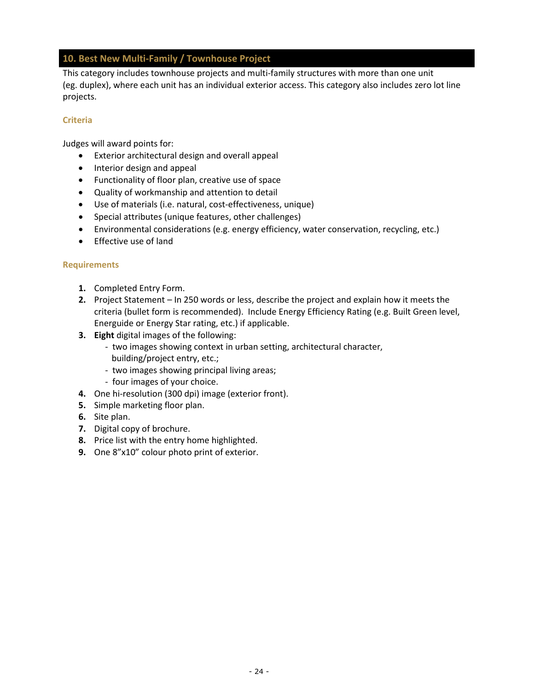## **10. Best New Multi-Family / Townhouse Project**

This category includes townhouse projects and multi-family structures with more than one unit (eg. duplex), where each unit has an individual exterior access. This category also includes zero lot line projects.

#### **Criteria**

Judges will award points for:

- Exterior architectural design and overall appeal
- Interior design and appeal
- Functionality of floor plan, creative use of space
- Quality of workmanship and attention to detail
- Use of materials (i.e. natural, cost-effectiveness, unique)
- Special attributes (unique features, other challenges)
- Environmental considerations (e.g. energy efficiency, water conservation, recycling, etc.)
- Effective use of land

- **1.** Completed Entry Form.
- **2.** Project Statement In 250 words or less, describe the project and explain how it meets the criteria (bullet form is recommended). Include Energy Efficiency Rating (e.g. Built Green level, Energuide or Energy Star rating, etc.) if applicable.
- **3. Eight** digital images of the following:
	- two images showing context in urban setting, architectural character, building/project entry, etc.;
	- two images showing principal living areas;
	- four images of your choice.
- **4.** One hi-resolution (300 dpi) image (exterior front).
- **5.** Simple marketing floor plan.
- **6.** Site plan.
- **7.** Digital copy of brochure.
- <span id="page-23-0"></span>**8.** Price list with the entry home highlighted.
- **9.** One 8"x10" colour photo print of exterior.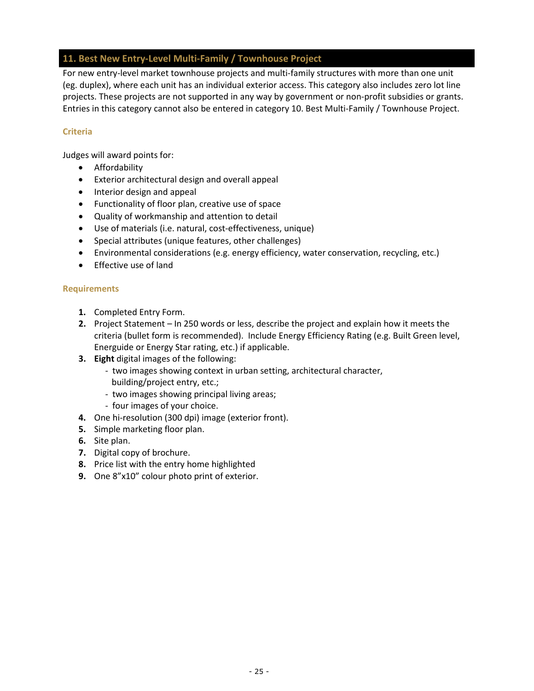## <span id="page-24-0"></span>**11. Best New Entry-Level Multi-Family / Townhouse Project**

For new entry-level market townhouse projects and multi-family structures with more than one unit (eg. duplex), where each unit has an individual exterior access. This category also includes zero lot line projects. These projects are not supported in any way by government or non-profit subsidies or grants. Entries in this category cannot also be entered in category 10. Best Multi-Family / Townhouse Project.

#### **Criteria**

Judges will award points for:

- Affordability
- Exterior architectural design and overall appeal
- Interior design and appeal
- Functionality of floor plan, creative use of space
- Quality of workmanship and attention to detail
- Use of materials (i.e. natural, cost-effectiveness, unique)
- Special attributes (unique features, other challenges)
- Environmental considerations (e.g. energy efficiency, water conservation, recycling, etc.)
- Effective use of land

- <span id="page-24-1"></span>**1.** Completed Entry Form.
- **2.** Project Statement In 250 words or less, describe the project and explain how it meets the criteria (bullet form is recommended). Include Energy Efficiency Rating (e.g. Built Green level, Energuide or Energy Star rating, etc.) if applicable.
- **3. Eight** digital images of the following:
	- two images showing context in urban setting, architectural character, building/project entry, etc.;
	- two images showing principal living areas;
	- four images of your choice.
- **4.** One hi-resolution (300 dpi) image (exterior front).
- **5.** Simple marketing floor plan.
- **6.** Site plan.
- **7.** Digital copy of brochure.
- **8.** Price list with the entry home highlighted
- **9.** One 8"x10" colour photo print of exterior.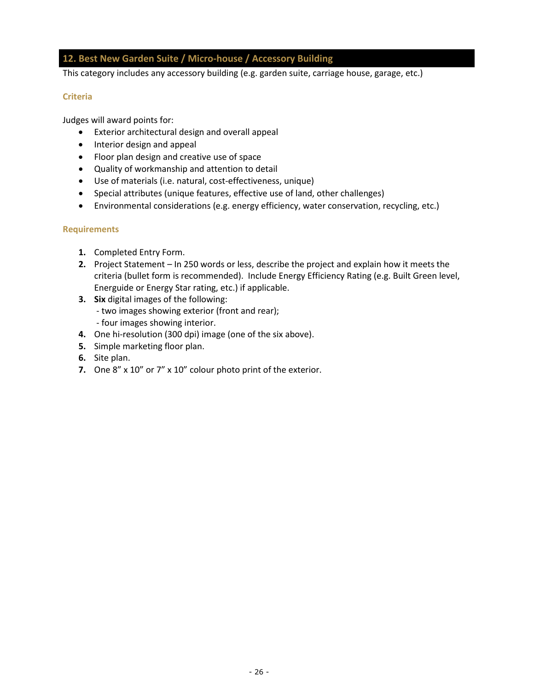## <span id="page-25-0"></span>**12. Best New Garden Suite / Micro-house / Accessory Building**

This category includes any accessory building (e.g. garden suite, carriage house, garage, etc.)

#### **Criteria**

Judges will award points for:

- Exterior architectural design and overall appeal
- Interior design and appeal
- Floor plan design and creative use of space
- Quality of workmanship and attention to detail
- Use of materials (i.e. natural, cost-effectiveness, unique)
- Special attributes (unique features, effective use of land, other challenges)
- Environmental considerations (e.g. energy efficiency, water conservation, recycling, etc.)

- **1.** Completed Entry Form.
- **2.** Project Statement In 250 words or less, describe the project and explain how it meets the criteria (bullet form is recommended). Include Energy Efficiency Rating (e.g. Built Green level, Energuide or Energy Star rating, etc.) if applicable.
- **3. Six** digital images of the following: - two images showing exterior (front and rear); - four images showing interior.
- <span id="page-25-1"></span>**4.** One hi-resolution (300 dpi) image (one of the six above).
- **5.** Simple marketing floor plan.
- **6.** Site plan.
- **7.** One 8" x 10" or 7" x 10" colour photo print of the exterior.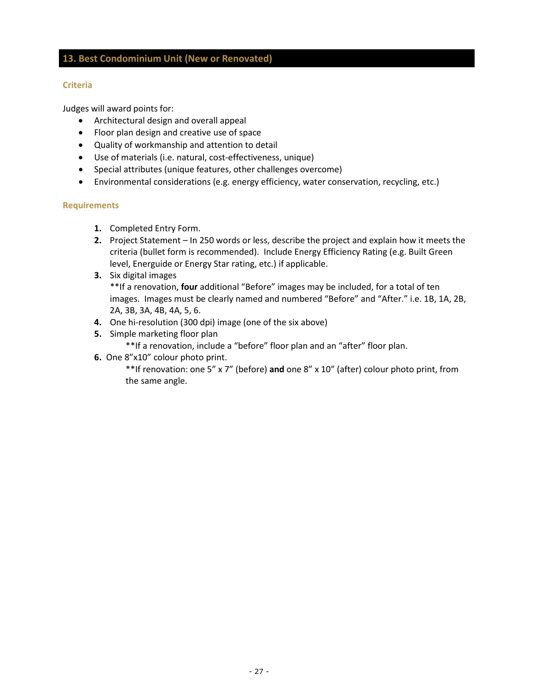## <span id="page-26-0"></span>**13. Best Condominium Unit (New or Renovated)**

#### **Criteria**

Judges will award points for:

- Architectural design and overall appeal
- Floor plan design and creative use of space
- Quality of workmanship and attention to detail
- Use of materials (i.e. natural, cost-effectiveness, unique)
- Special attributes (unique features, other challenges overcome)
- Environmental considerations (e.g. energy efficiency, water conservation, recycling, etc.)

#### **Requirements**

- **1.** Completed Entry Form.
- **2.** Project Statement In 250 words or less, describe the project and explain how it meets the criteria (bullet form is recommended). Include Energy Efficiency Rating (e.g. Built Green level, Energuide or Energy Star rating, etc.) if applicable.
- **3.** Six digital images \*\*If a renovation, **four** additional "Before" images may be included, for a total of ten images. Images must be clearly named and numbered "Before" and "After." i.e. 1B, 1A, 2B, 2A, 3B, 3A, 4B, 4A, 5, 6.
	- **4.** One hi-resolution (300 dpi) image (one of the six above)
	- **5.** Simple marketing floor plan
		- \*\*If a renovation, include a "before" floor plan and an "after" floor plan.
	- **6.** One 8"x10" colour photo print.

<span id="page-26-1"></span>\*\*If renovation: one 5" x 7" (before) **and** one 8" x 10" (after) colour photo print, from the same angle.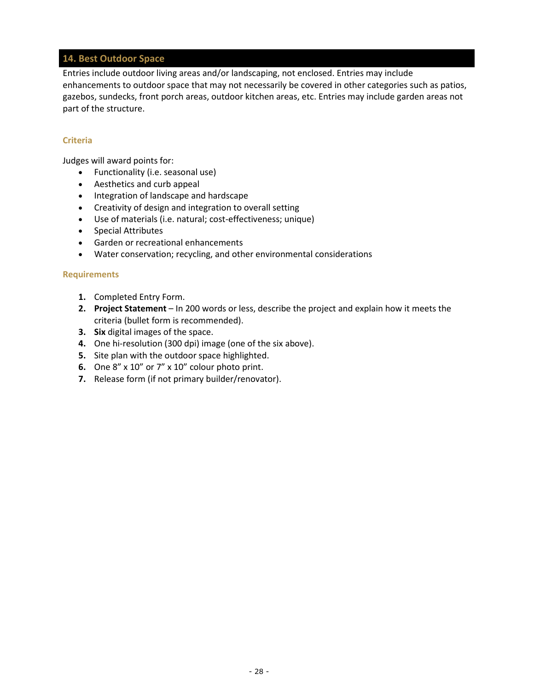## <span id="page-27-0"></span>**14. Best Outdoor Space**

Entries include outdoor living areas and/or landscaping, not enclosed. Entries may include enhancements to outdoor space that may not necessarily be covered in other categories such as patios, gazebos, sundecks, front porch areas, outdoor kitchen areas, etc. Entries may include garden areas not part of the structure.

#### **Criteria**

Judges will award points for:

- Functionality (i.e. seasonal use)
- Aesthetics and curb appeal
- Integration of landscape and hardscape
- Creativity of design and integration to overall setting
- Use of materials (i.e. natural; cost-effectiveness; unique)
- Special Attributes
- Garden or recreational enhancements
- Water conservation; recycling, and other environmental considerations

- **1.** Completed Entry Form.
- **2. Project Statement** In 200 words or less, describe the project and explain how it meets the criteria (bullet form is recommended).
- **3. Six** digital images of the space.
- **4.** One hi-resolution (300 dpi) image (one of the six above).
- **5.** Site plan with the outdoor space highlighted.
- **6.** One 8" x 10" or 7" x 10" colour photo print.
- **7.** Release form (if not primary builder/renovator).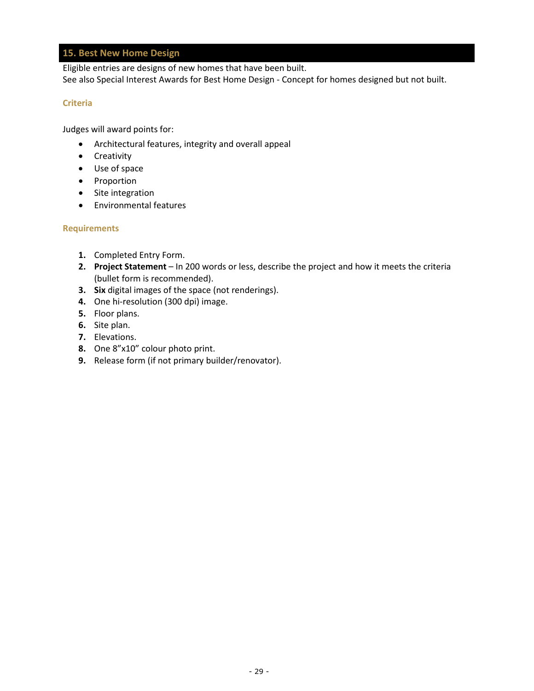## <span id="page-28-1"></span><span id="page-28-0"></span>**15. Best New Home Design**

Eligible entries are designs of new homes that have been built. See also Special Interest Awards for Best Home Design - Concept for homes designed but not built.

#### **Criteria**

Judges will award points for:

- Architectural features, integrity and overall appeal
- Creativity
- Use of space
- Proportion
- Site integration
- Environmental features

- **1.** Completed Entry Form.
- **2. Project Statement**  In 200 words or less, describe the project and how it meets the criteria (bullet form is recommended).
- **3. Six** digital images of the space (not renderings).
- **4.** One hi-resolution (300 dpi) image.
- **5.** Floor plans.
- **6.** Site plan.
- **7.** Elevations.
- **8.** One 8"x10" colour photo print.
- **9.** Release form (if not primary builder/renovator).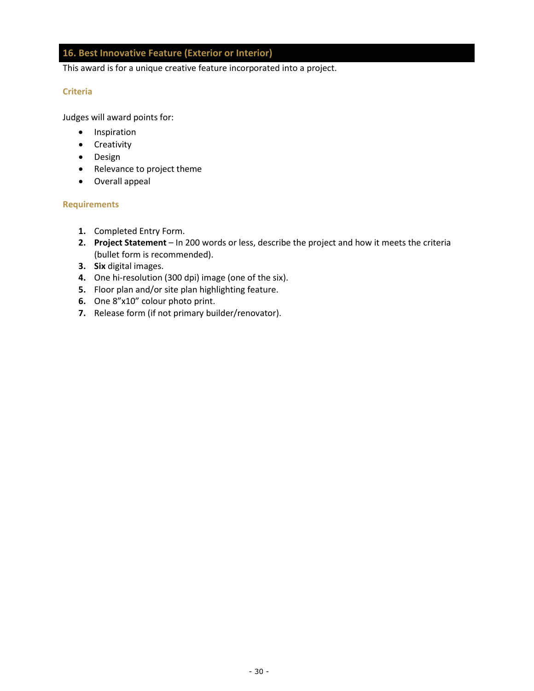## <span id="page-29-1"></span><span id="page-29-0"></span>**16. Best Innovative Feature (Exterior or Interior)**

This award is for a unique creative feature incorporated into a project.

#### **Criteria**

Judges will award points for:

- Inspiration
- Creativity
- Design
- Relevance to project theme
- Overall appeal

- **1.** Completed Entry Form.
- **2. Project Statement**  In 200 words or less, describe the project and how it meets the criteria (bullet form is recommended).
- **3. Six** digital images.
- **4.** One hi-resolution (300 dpi) image (one of the six).
- **5.** Floor plan and/or site plan highlighting feature.
- **6.** One 8"x10" colour photo print.
- **7.** Release form (if not primary builder/renovator).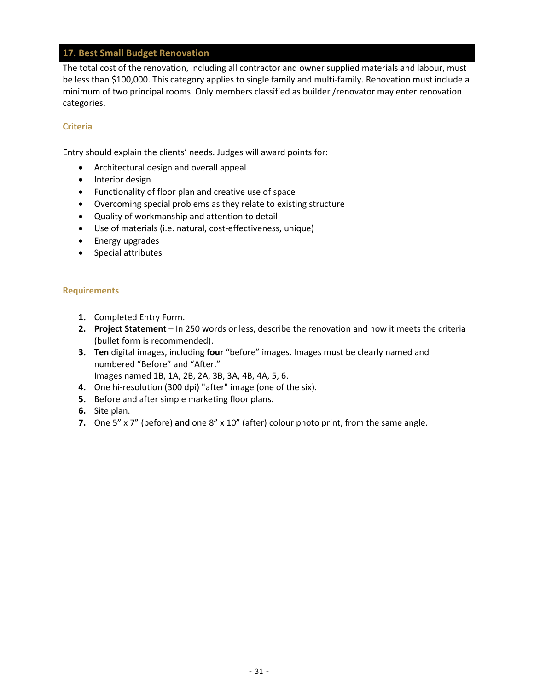## <span id="page-30-0"></span>**17. Best Small Budget Renovation**

The total cost of the renovation, including all contractor and owner supplied materials and labour, must be less than \$100,000. This category applies to single family and multi-family. Renovation must include a minimum of two principal rooms. Only members classified as builder /renovator may enter renovation categories.

#### **Criteria**

Entry should explain the clients' needs. Judges will award points for:

- Architectural design and overall appeal
- Interior design
- Functionality of floor plan and creative use of space
- Overcoming special problems as they relate to existing structure
- Quality of workmanship and attention to detail
- Use of materials (i.e. natural, cost-effectiveness, unique)
- Energy upgrades
- Special attributes

- **1.** Completed Entry Form.
- **2. Project Statement**  In 250 words or less, describe the renovation and how it meets the criteria (bullet form is recommended).
- **3. Ten** digital images, including **four** "before" images. Images must be clearly named and numbered "Before" and "After."
	- Images named 1B, 1A, 2B, 2A, 3B, 3A, 4B, 4A, 5, 6.
- **4.** One hi-resolution (300 dpi) "after" image (one of the six).
- **5.** Before and after simple marketing floor plans.
- **6.** Site plan.
- <span id="page-30-1"></span>**7.** One 5" x 7" (before) **and** one 8" x 10" (after) colour photo print, from the same angle.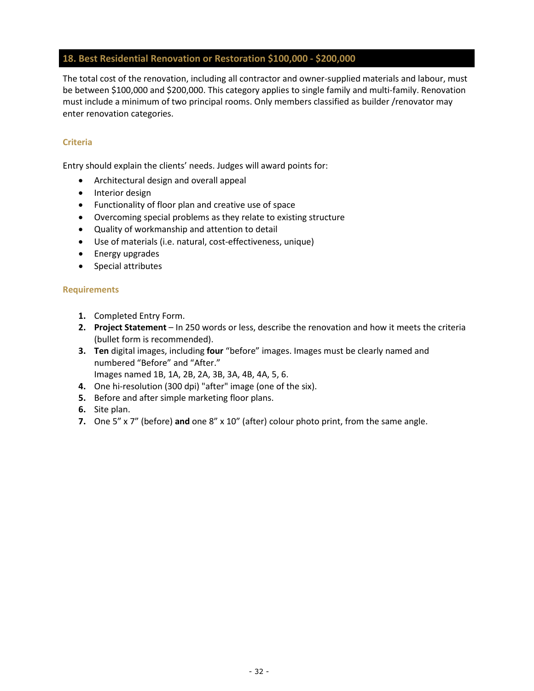## <span id="page-31-0"></span>**18. Best Residential Renovation or Restoration \$100,000 - \$200,000**

The total cost of the renovation, including all contractor and owner-supplied materials and labour, must be between \$100,000 and \$200,000. This category applies to single family and multi-family. Renovation must include a minimum of two principal rooms. Only members classified as builder /renovator may enter renovation categories.

#### **Criteria**

Entry should explain the clients' needs. Judges will award points for:

- Architectural design and overall appeal
- Interior design
- Functionality of floor plan and creative use of space
- Overcoming special problems as they relate to existing structure
- Quality of workmanship and attention to detail
- Use of materials (i.e. natural, cost-effectiveness, unique)
- Energy upgrades
- Special attributes

- **1.** Completed Entry Form.
- **2. Project Statement**  In 250 words or less, describe the renovation and how it meets the criteria (bullet form is recommended).
- **3. Ten** digital images, including **four** "before" images. Images must be clearly named and numbered "Before" and "After."
	- Images named 1B, 1A, 2B, 2A, 3B, 3A, 4B, 4A, 5, 6.
- **4.** One hi-resolution (300 dpi) "after" image (one of the six).
- **5.** Before and after simple marketing floor plans.
- **6.** Site plan.
- **7.** One 5" x 7" (before) **and** one 8" x 10" (after) colour photo print, from the same angle.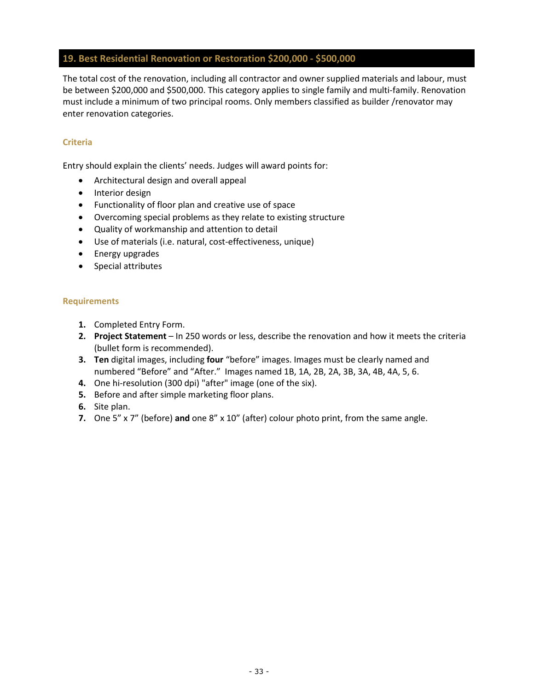## <span id="page-32-0"></span>**19. Best Residential Renovation or Restoration \$200,000 - \$500,000**

The total cost of the renovation, including all contractor and owner supplied materials and labour, must be between \$200,000 and \$500,000. This category applies to single family and multi-family. Renovation must include a minimum of two principal rooms. Only members classified as builder /renovator may enter renovation categories.

#### **Criteria**

Entry should explain the clients' needs. Judges will award points for:

- Architectural design and overall appeal
- Interior design
- Functionality of floor plan and creative use of space
- Overcoming special problems as they relate to existing structure
- Quality of workmanship and attention to detail
- Use of materials (i.e. natural, cost-effectiveness, unique)
- Energy upgrades
- Special attributes

- <span id="page-32-1"></span>**1.** Completed Entry Form.
- **2. Project Statement**  In 250 words or less, describe the renovation and how it meets the criteria (bullet form is recommended).
- **3. Ten** digital images, including **four** "before" images. Images must be clearly named and numbered "Before" and "After." Images named 1B, 1A, 2B, 2A, 3B, 3A, 4B, 4A, 5, 6.
- **4.** One hi-resolution (300 dpi) "after" image (one of the six).
- **5.** Before and after simple marketing floor plans.
- **6.** Site plan.
- **7.** One 5" x 7" (before) **and** one 8" x 10" (after) colour photo print, from the same angle.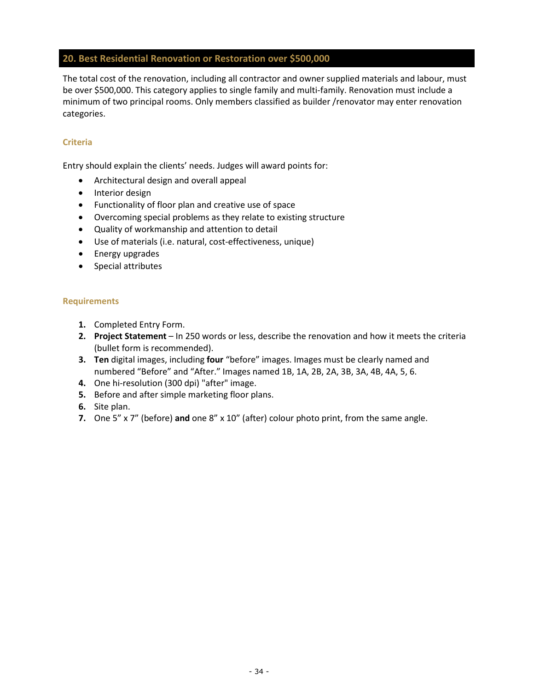## <span id="page-33-0"></span>**20. Best Residential Renovation or Restoration over \$500,000**

The total cost of the renovation, including all contractor and owner supplied materials and labour, must be over \$500,000. This category applies to single family and multi-family. Renovation must include a minimum of two principal rooms. Only members classified as builder /renovator may enter renovation categories.

#### **Criteria**

Entry should explain the clients' needs. Judges will award points for:

- Architectural design and overall appeal
- Interior design
- Functionality of floor plan and creative use of space
- Overcoming special problems as they relate to existing structure
- Quality of workmanship and attention to detail
- Use of materials (i.e. natural, cost-effectiveness, unique)
- Energy upgrades
- Special attributes

- **1.** Completed Entry Form.
- **2. Project Statement**  In 250 words or less, describe the renovation and how it meets the criteria (bullet form is recommended).
- **3. Ten** digital images, including **four** "before" images. Images must be clearly named and numbered "Before" and "After." Images named 1B, 1A, 2B, 2A, 3B, 3A, 4B, 4A, 5, 6.
- **4.** One hi-resolution (300 dpi) "after" image.
- **5.** Before and after simple marketing floor plans.
- **6.** Site plan.
- **7.** One 5" x 7" (before) **and** one 8" x 10" (after) colour photo print, from the same angle.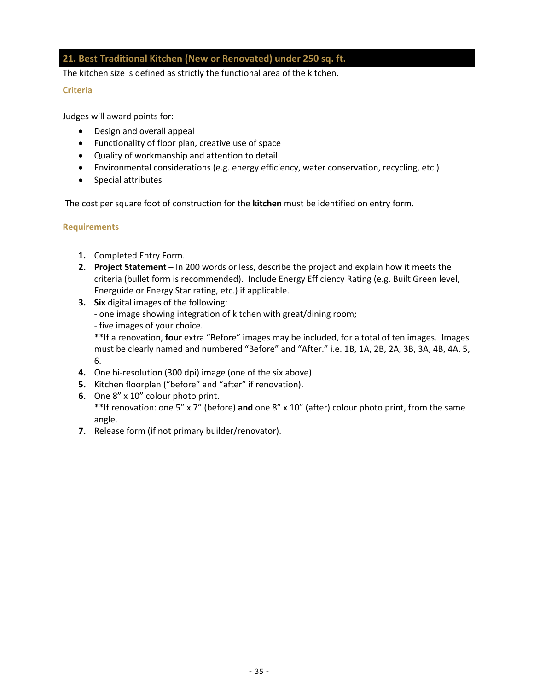## <span id="page-34-0"></span>**21. Best Traditional Kitchen (New or Renovated) under 250 sq. ft.**

The kitchen size is defined as strictly the functional area of the kitchen.

#### **Criteria**

Judges will award points for:

- Design and overall appeal
- Functionality of floor plan, creative use of space
- Quality of workmanship and attention to detail
- Environmental considerations (e.g. energy efficiency, water conservation, recycling, etc.)
- Special attributes

The cost per square foot of construction for the **kitchen** must be identified on entry form.

## **Requirements**

- **1.** Completed Entry Form.
- **2. Project Statement** In 200 words or less, describe the project and explain how it meets the criteria (bullet form is recommended). Include Energy Efficiency Rating (e.g. Built Green level, Energuide or Energy Star rating, etc.) if applicable.
- **3. Six** digital images of the following:
	- one image showing integration of kitchen with great/dining room;
	- five images of your choice.

\*\*If a renovation, **four** extra "Before" images may be included, for a total of ten images. Images must be clearly named and numbered "Before" and "After." i.e. 1B, 1A, 2B, 2A, 3B, 3A, 4B, 4A, 5, 6.

- **4.** One hi-resolution (300 dpi) image (one of the six above).
- **5.** Kitchen floorplan ("before" and "after" if renovation).
- **6.** One 8" x 10" colour photo print. \*\*If renovation: one 5" x 7" (before) **and** one 8" x 10" (after) colour photo print, from the same angle.
- **7.** Release form (if not primary builder/renovator).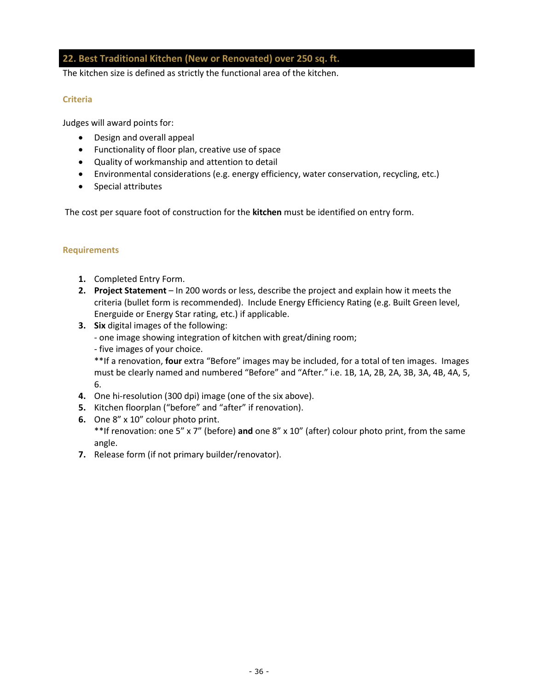## <span id="page-35-0"></span>**22. Best Traditional Kitchen (New or Renovated) over 250 sq. ft.**

The kitchen size is defined as strictly the functional area of the kitchen.

#### **Criteria**

Judges will award points for:

- Design and overall appeal
- Functionality of floor plan, creative use of space
- Quality of workmanship and attention to detail
- Environmental considerations (e.g. energy efficiency, water conservation, recycling, etc.)
- Special attributes

The cost per square foot of construction for the **kitchen** must be identified on entry form.

#### **Requirements**

- **1.** Completed Entry Form.
- **2. Project Statement** In 200 words or less, describe the project and explain how it meets the criteria (bullet form is recommended). Include Energy Efficiency Rating (e.g. Built Green level, Energuide or Energy Star rating, etc.) if applicable.
- **3. Six** digital images of the following: - one image showing integration of kitchen with great/dining room;
	- five images of your choice.

\*\*If a renovation, **four** extra "Before" images may be included, for a total of ten images. Images must be clearly named and numbered "Before" and "After." i.e. 1B, 1A, 2B, 2A, 3B, 3A, 4B, 4A, 5, 6.

- **4.** One hi-resolution (300 dpi) image (one of the six above).
- **5.** Kitchen floorplan ("before" and "after" if renovation).
- **6.** One 8" x 10" colour photo print.

\*\*If renovation: one 5" x 7" (before) **and** one 8" x 10" (after) colour photo print, from the same angle.

**7.** Release form (if not primary builder/renovator).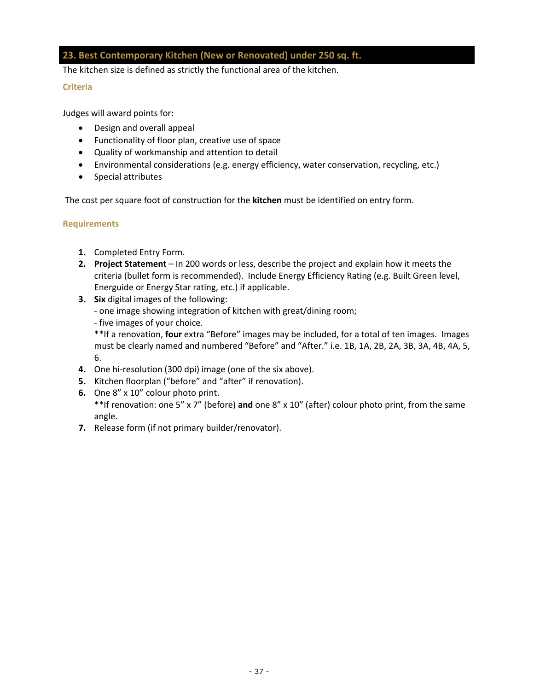## <span id="page-36-0"></span>**23. Best Contemporary Kitchen (New or Renovated) under 250 sq. ft.**

The kitchen size is defined as strictly the functional area of the kitchen.

#### **Criteria**

Judges will award points for:

- Design and overall appeal
- Functionality of floor plan, creative use of space
- Quality of workmanship and attention to detail
- Environmental considerations (e.g. energy efficiency, water conservation, recycling, etc.)
- Special attributes

The cost per square foot of construction for the **kitchen** must be identified on entry form.

#### **Requirements**

- **1.** Completed Entry Form.
- **2. Project Statement** In 200 words or less, describe the project and explain how it meets the criteria (bullet form is recommended). Include Energy Efficiency Rating (e.g. Built Green level, Energuide or Energy Star rating, etc.) if applicable.
- **3. Six** digital images of the following:
	- one image showing integration of kitchen with great/dining room;
	- five images of your choice.

\*\*If a renovation, **four** extra "Before" images may be included, for a total of ten images. Images must be clearly named and numbered "Before" and "After." i.e. 1B, 1A, 2B, 2A, 3B, 3A, 4B, 4A, 5, 6.

- **4.** One hi-resolution (300 dpi) image (one of the six above).
- **5.** Kitchen floorplan ("before" and "after" if renovation).
- **6.** One 8" x 10" colour photo print. \*\*If renovation: one 5" x 7" (before) **and** one 8" x 10" (after) colour photo print, from the same angle.
- **7.** Release form (if not primary builder/renovator).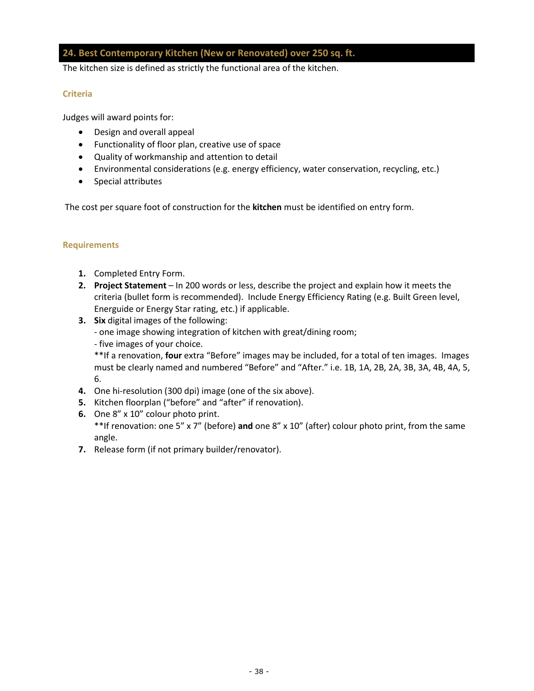## <span id="page-37-0"></span>**24. Best Contemporary Kitchen (New or Renovated) over 250 sq. ft.**

The kitchen size is defined as strictly the functional area of the kitchen.

#### **Criteria**

Judges will award points for:

- Design and overall appeal
- Functionality of floor plan, creative use of space
- Quality of workmanship and attention to detail
- Environmental considerations (e.g. energy efficiency, water conservation, recycling, etc.)
- Special attributes

The cost per square foot of construction for the **kitchen** must be identified on entry form.

## **Requirements**

- **1.** Completed Entry Form.
- **2. Project Statement** In 200 words or less, describe the project and explain how it meets the criteria (bullet form is recommended). Include Energy Efficiency Rating (e.g. Built Green level, Energuide or Energy Star rating, etc.) if applicable.
- **3. Six** digital images of the following:
	- one image showing integration of kitchen with great/dining room;
	- five images of your choice.

\*\*If a renovation, **four** extra "Before" images may be included, for a total of ten images. Images must be clearly named and numbered "Before" and "After." i.e. 1B, 1A, 2B, 2A, 3B, 3A, 4B, 4A, 5, 6.

- **4.** One hi-resolution (300 dpi) image (one of the six above).
- **5.** Kitchen floorplan ("before" and "after" if renovation).
- **6.** One 8" x 10" colour photo print. \*\*If renovation: one 5" x 7" (before) **and** one 8" x 10" (after) colour photo print, from the same angle.
- **7.** Release form (if not primary builder/renovator).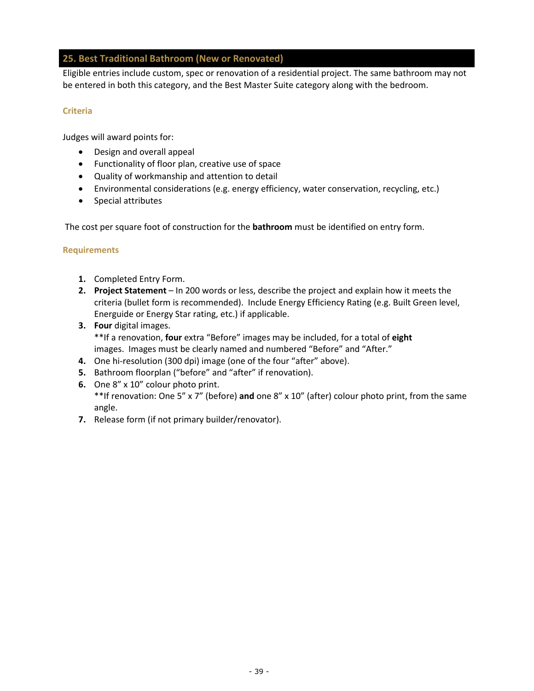## <span id="page-38-1"></span><span id="page-38-0"></span>**25. Best Traditional Bathroom (New or Renovated)**

Eligible entries include custom, spec or renovation of a residential project. The same bathroom may not be entered in both this category, and the Best Master Suite category along with the bedroom.

#### **Criteria**

Judges will award points for:

- Design and overall appeal
- Functionality of floor plan, creative use of space
- Quality of workmanship and attention to detail
- Environmental considerations (e.g. energy efficiency, water conservation, recycling, etc.)
- Special attributes

The cost per square foot of construction for the **bathroom** must be identified on entry form.

- **1.** Completed Entry Form.
- **2. Project Statement** In 200 words or less, describe the project and explain how it meets the criteria (bullet form is recommended). Include Energy Efficiency Rating (e.g. Built Green level, Energuide or Energy Star rating, etc.) if applicable.
- **3. Four** digital images. \*\*If a renovation, **four** extra "Before" images may be included, for a total of **eight** images. Images must be clearly named and numbered "Before" and "After."
- **4.** One hi-resolution (300 dpi) image (one of the four "after" above).
- **5.** Bathroom floorplan ("before" and "after" if renovation).
- **6.** One 8" x 10" colour photo print. \*\*If renovation: One 5" x 7" (before) **and** one 8" x 10" (after) colour photo print, from the same angle.
- <span id="page-38-2"></span>**7.** Release form (if not primary builder/renovator).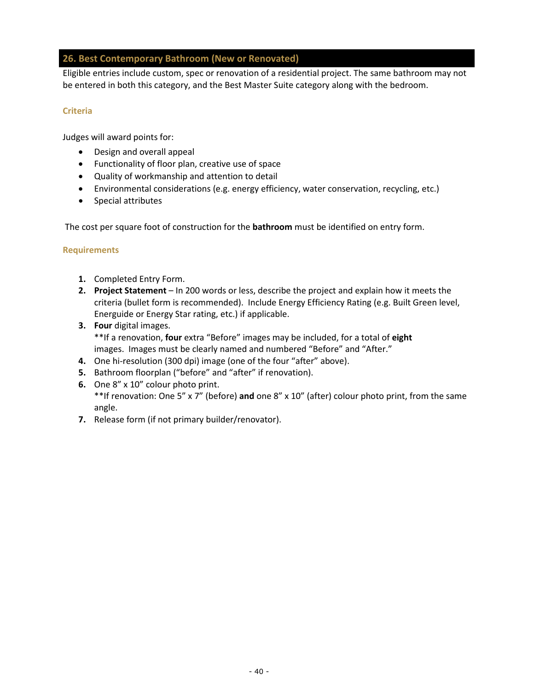## <span id="page-39-0"></span>**26. Best Contemporary Bathroom (New or Renovated)**

Eligible entries include custom, spec or renovation of a residential project. The same bathroom may not be entered in both this category, and the Best Master Suite category along with the bedroom.

#### **Criteria**

Judges will award points for:

- Design and overall appeal
- Functionality of floor plan, creative use of space
- Quality of workmanship and attention to detail
- Environmental considerations (e.g. energy efficiency, water conservation, recycling, etc.)
- Special attributes

The cost per square foot of construction for the **bathroom** must be identified on entry form.

- **1.** Completed Entry Form.
- **2. Project Statement** In 200 words or less, describe the project and explain how it meets the criteria (bullet form is recommended). Include Energy Efficiency Rating (e.g. Built Green level, Energuide or Energy Star rating, etc.) if applicable.
- **3. Four** digital images. \*\*If a renovation, **four** extra "Before" images may be included, for a total of **eight** images. Images must be clearly named and numbered "Before" and "After."
- **4.** One hi-resolution (300 dpi) image (one of the four "after" above).
- **5.** Bathroom floorplan ("before" and "after" if renovation).
- **6.** One 8" x 10" colour photo print. \*\*If renovation: One 5" x 7" (before) **and** one 8" x 10" (after) colour photo print, from the same angle.
- **7.** Release form (if not primary builder/renovator).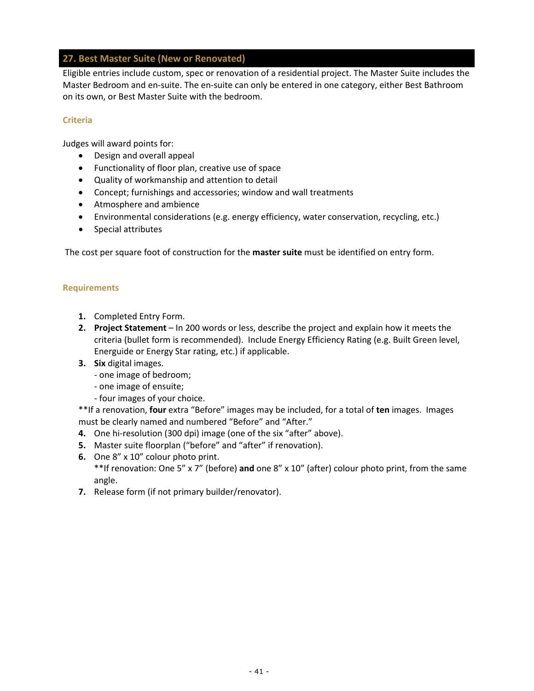## <span id="page-40-0"></span>**27. Best Master Suite (New or Renovated)**

Eligible entries include custom, spec or renovation of a residential project. The Master Suite includes the Master Bedroom and en-suite. The en-suite can only be entered in one category, either Best Bathroom on its own, or Best Master Suite with the bedroom.

#### **Criteria**

Judges will award points for:

- Design and overall appeal
- Functionality of floor plan, creative use of space
- Quality of workmanship and attention to detail
- Concept; furnishings and accessories; window and wall treatments
- Atmosphere and ambience
- Environmental considerations (e.g. energy efficiency, water conservation, recycling, etc.)
- Special attributes

The cost per square foot of construction for the **master suite** must be identified on entry form.

## **Requirements**

- **1.** Completed Entry Form.
- **2. Project Statement** In 200 words or less, describe the project and explain how it meets the criteria (bullet form is recommended). Include Energy Efficiency Rating (e.g. Built Green level, Energuide or Energy Star rating, etc.) if applicable.
- **3. Six** digital images.
	- one image of bedroom;
	- one image of ensuite;
	- four images of your choice.

\*\*If a renovation, **four** extra "Before" images may be included, for a total of **ten** images. Images must be clearly named and numbered "Before" and "After."

- **4.** One hi-resolution (300 dpi) image (one of the six "after" above).
- **5.** Master suite floorplan ("before" and "after" if renovation).
- **6.** One 8" x 10" colour photo print.

\*\*If renovation: One 5" x 7" (before) **and** one 8" x 10" (after) colour photo print, from the same angle.

**7.** Release form (if not primary builder/renovator).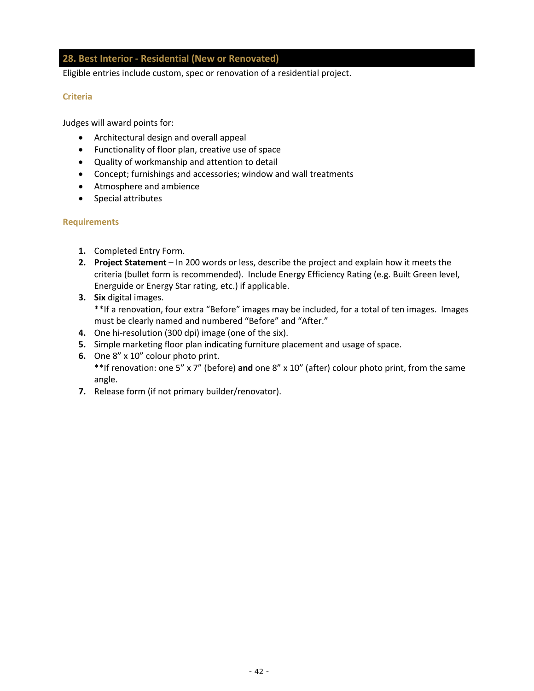## <span id="page-41-0"></span>**28. Best Interior - Residential (New or Renovated)**

Eligible entries include custom, spec or renovation of a residential project.

#### **Criteria**

Judges will award points for:

- Architectural design and overall appeal
- Functionality of floor plan, creative use of space
- Quality of workmanship and attention to detail
- Concept; furnishings and accessories; window and wall treatments
- Atmosphere and ambience
- Special attributes

- **1.** Completed Entry Form.
- **2. Project Statement** In 200 words or less, describe the project and explain how it meets the criteria (bullet form is recommended). Include Energy Efficiency Rating (e.g. Built Green level, Energuide or Energy Star rating, etc.) if applicable.
- **3. Six** digital images. \*\*If a renovation, four extra "Before" images may be included, for a total of ten images. Images must be clearly named and numbered "Before" and "After."
- **4.** One hi-resolution (300 dpi) image (one of the six).
- **5.** Simple marketing floor plan indicating furniture placement and usage of space.
- **6.** One 8" x 10" colour photo print. \*\*If renovation: one 5" x 7" (before) **and** one 8" x 10" (after) colour photo print, from the same angle.
- **7.** Release form (if not primary builder/renovator).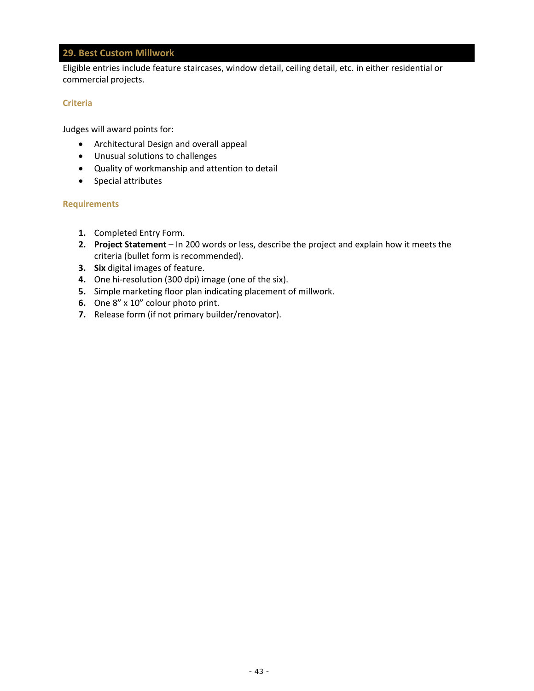## <span id="page-42-0"></span>**29. Best Custom Millwork**

Eligible entries include feature staircases, window detail, ceiling detail, etc. in either residential or commercial projects.

#### **Criteria**

Judges will award points for:

- Architectural Design and overall appeal
- Unusual solutions to challenges
- Quality of workmanship and attention to detail
- Special attributes

- **1.** Completed Entry Form.
- **2. Project Statement** In 200 words or less, describe the project and explain how it meets the criteria (bullet form is recommended).
- **3. Six** digital images of feature.
- **4.** One hi-resolution (300 dpi) image (one of the six).
- **5.** Simple marketing floor plan indicating placement of millwork.
- **6.** One 8" x 10" colour photo print.
- **7.** Release form (if not primary builder/renovator).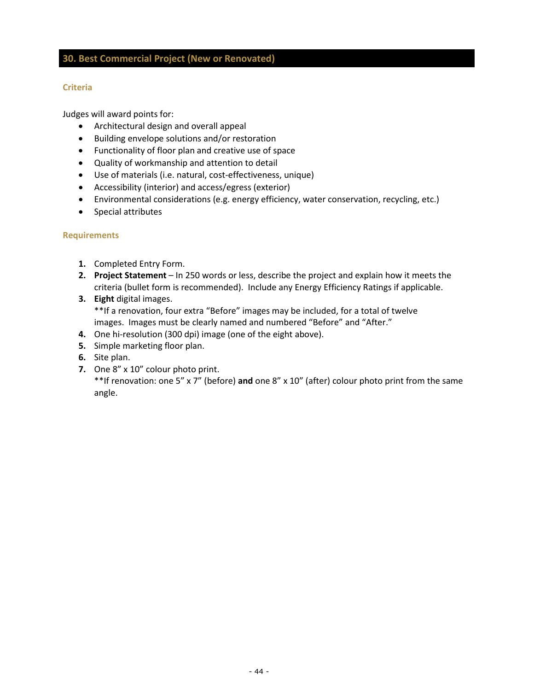## <span id="page-43-1"></span><span id="page-43-0"></span>**30. Best Commercial Project (New or Renovated)**

#### **Criteria**

Judges will award points for:

- Architectural design and overall appeal
- Building envelope solutions and/or restoration
- Functionality of floor plan and creative use of space
- Quality of workmanship and attention to detail
- Use of materials (i.e. natural, cost-effectiveness, unique)
- Accessibility (interior) and access/egress (exterior)
- Environmental considerations (e.g. energy efficiency, water conservation, recycling, etc.)
- Special attributes

#### **Requirements**

- **1.** Completed Entry Form.
- **2. Project Statement** In 250 words or less, describe the project and explain how it meets the criteria (bullet form is recommended). Include any Energy Efficiency Ratings if applicable.
- **3. Eight** digital images. \*\*If a renovation, four extra "Before" images may be included, for a total of twelve images. Images must be clearly named and numbered "Before" and "After."
- **4.** One hi-resolution (300 dpi) image (one of the eight above).
- **5.** Simple marketing floor plan.
- **6.** Site plan.
- **7.** One 8" x 10" colour photo print.

\*\*If renovation: one 5" x 7" (before) **and** one 8" x 10" (after) colour photo print from the same angle.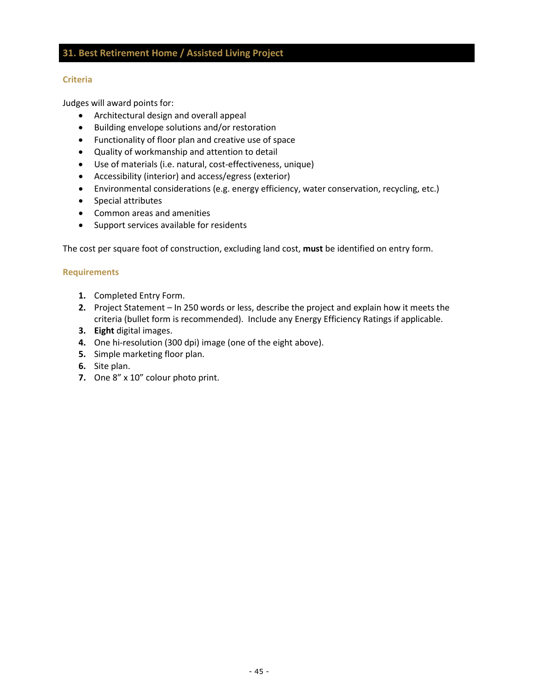## <span id="page-44-1"></span><span id="page-44-0"></span>**31. Best Retirement Home / Assisted Living Project**

#### **Criteria**

Judges will award points for:

- Architectural design and overall appeal
- Building envelope solutions and/or restoration
- Functionality of floor plan and creative use of space
- Quality of workmanship and attention to detail
- Use of materials (i.e. natural, cost-effectiveness, unique)
- Accessibility (interior) and access/egress (exterior)
- Environmental considerations (e.g. energy efficiency, water conservation, recycling, etc.)
- Special attributes
- Common areas and amenities
- Support services available for residents

The cost per square foot of construction, excluding land cost, **must** be identified on entry form.

- **1.** Completed Entry Form.
- **2.** Project Statement In 250 words or less, describe the project and explain how it meets the criteria (bullet form is recommended). Include any Energy Efficiency Ratings if applicable.
- **3. Eight** digital images.
- **4.** One hi-resolution (300 dpi) image (one of the eight above).
- **5.** Simple marketing floor plan.
- **6.** Site plan.
- **7.** One 8" x 10" colour photo print.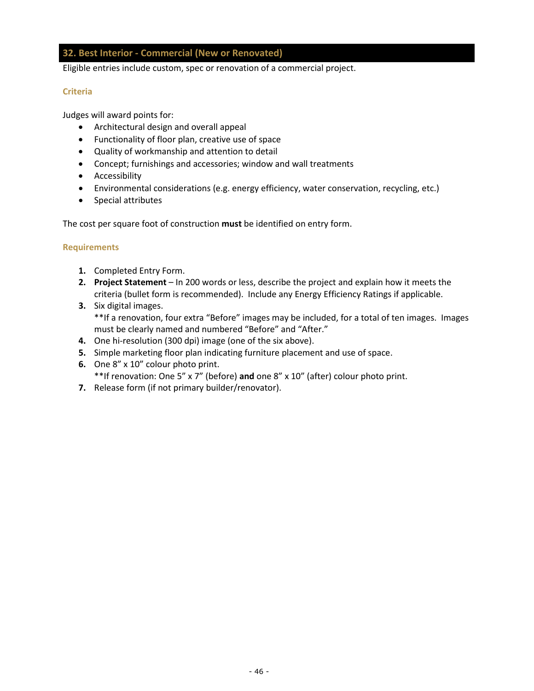## <span id="page-45-0"></span>**32. Best Interior - Commercial (New or Renovated)**

Eligible entries include custom, spec or renovation of a commercial project.

#### **Criteria**

Judges will award points for:

- Architectural design and overall appeal
- Functionality of floor plan, creative use of space
- Quality of workmanship and attention to detail
- Concept; furnishings and accessories; window and wall treatments
- Accessibility
- Environmental considerations (e.g. energy efficiency, water conservation, recycling, etc.)
- Special attributes

The cost per square foot of construction **must** be identified on entry form.

#### **Requirements**

- **1.** Completed Entry Form.
- **2. Project Statement** In 200 words or less, describe the project and explain how it meets the criteria (bullet form is recommended). Include any Energy Efficiency Ratings if applicable.
- **3.** Six digital images.

\*\*If a renovation, four extra "Before" images may be included, for a total of ten images. Images must be clearly named and numbered "Before" and "After."

- **4.** One hi-resolution (300 dpi) image (one of the six above).
- **5.** Simple marketing floor plan indicating furniture placement and use of space.
- **6.** One 8" x 10" colour photo print. \*\*If renovation: One 5" x 7" (before) **and** one 8" x 10" (after) colour photo print.
- **7.** Release form (if not primary builder/renovator).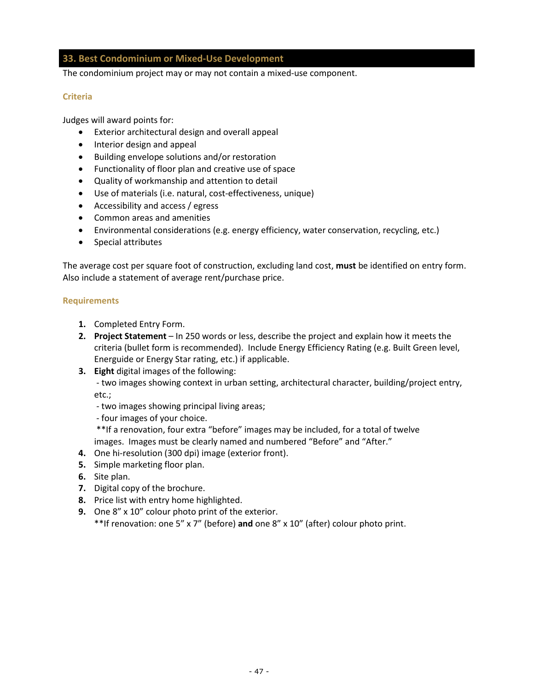## <span id="page-46-0"></span>**33. Best Condominium or Mixed-Use Development**

The condominium project may or may not contain a mixed-use component.

#### **Criteria**

Judges will award points for:

- Exterior architectural design and overall appeal
- Interior design and appeal
- Building envelope solutions and/or restoration
- Functionality of floor plan and creative use of space
- Quality of workmanship and attention to detail
- Use of materials (i.e. natural, cost-effectiveness, unique)
- Accessibility and access / egress
- Common areas and amenities
- Environmental considerations (e.g. energy efficiency, water conservation, recycling, etc.)
- Special attributes

The average cost per square foot of construction, excluding land cost, **must** be identified on entry form. Also include a statement of average rent/purchase price.

#### **Requirements**

- **1.** Completed Entry Form.
- **2. Project Statement** In 250 words or less, describe the project and explain how it meets the criteria (bullet form is recommended). Include Energy Efficiency Rating (e.g. Built Green level, Energuide or Energy Star rating, etc.) if applicable.
- **3. Eight** digital images of the following:

 - two images showing context in urban setting, architectural character, building/project entry, etc.;

- two images showing principal living areas;
- four images of your choice.

<span id="page-46-1"></span>\*\*If a renovation, four extra "before" images may be included, for a total of twelve images. Images must be clearly named and numbered "Before" and "After."

- **4.** One hi-resolution (300 dpi) image (exterior front).
- **5.** Simple marketing floor plan.
- **6.** Site plan.
- **7.** Digital copy of the brochure.
- **8.** Price list with entry home highlighted.
- **9.** One 8" x 10" colour photo print of the exterior. \*\*If renovation: one 5" x 7" (before) **and** one 8" x 10" (after) colour photo print.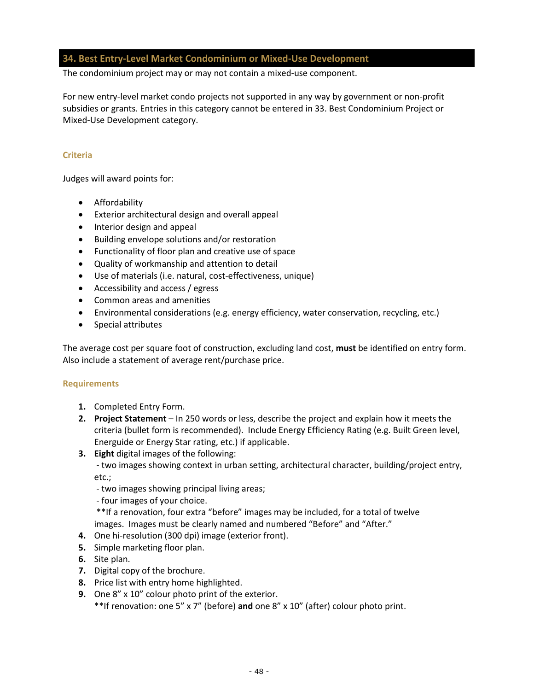## <span id="page-47-0"></span>**34. Best Entry-Level Market Condominium or Mixed-Use Development**

The condominium project may or may not contain a mixed-use component.

For new entry-level market condo projects not supported in any way by government or non-profit subsidies or grants. Entries in this category cannot be entered in 33. Best Condominium Project or Mixed-Use Development category.

#### **Criteria**

Judges will award points for:

- Affordability
- Exterior architectural design and overall appeal
- Interior design and appeal
- Building envelope solutions and/or restoration
- Functionality of floor plan and creative use of space
- Quality of workmanship and attention to detail
- Use of materials (i.e. natural, cost-effectiveness, unique)
- Accessibility and access / egress
- Common areas and amenities
- Environmental considerations (e.g. energy efficiency, water conservation, recycling, etc.)
- Special attributes

The average cost per square foot of construction, excluding land cost, **must** be identified on entry form. Also include a statement of average rent/purchase price.

#### **Requirements**

- **1.** Completed Entry Form.
- **2. Project Statement** In 250 words or less, describe the project and explain how it meets the criteria (bullet form is recommended). Include Energy Efficiency Rating (e.g. Built Green level, Energuide or Energy Star rating, etc.) if applicable.
- **3. Eight** digital images of the following:

 - two images showing context in urban setting, architectural character, building/project entry, etc.;

- two images showing principal living areas;

- four images of your choice.

\*\*If a renovation, four extra "before" images may be included, for a total of twelve images. Images must be clearly named and numbered "Before" and "After."

- **4.** One hi-resolution (300 dpi) image (exterior front).
- **5.** Simple marketing floor plan.
- **6.** Site plan.
- **7.** Digital copy of the brochure.
- **8.** Price list with entry home highlighted.
- **9.** One 8" x 10" colour photo print of the exterior.

\*\*If renovation: one 5" x 7" (before) **and** one 8" x 10" (after) colour photo print.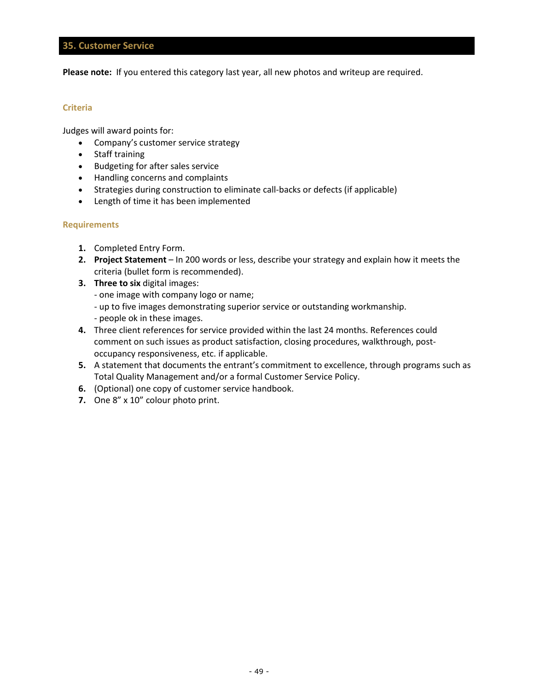## <span id="page-48-1"></span><span id="page-48-0"></span>**35. Customer Service**

**Please note:** If you entered this category last year, all new photos and writeup are required.

#### **Criteria**

Judges will award points for:

- Company's customer service strategy
- Staff training
- Budgeting for after sales service
- Handling concerns and complaints
- Strategies during construction to eliminate call-backs or defects (if applicable)
- Length of time it has been implemented

- **1.** Completed Entry Form.
- **2. Project Statement** In 200 words or less, describe your strategy and explain how it meets the criteria (bullet form is recommended).
- **3. Three to six** digital images:
	- one image with company logo or name;
	- up to five images demonstrating superior service or outstanding workmanship.
	- people ok in these images.
- **4.** Three client references for service provided within the last 24 months. References could comment on such issues as product satisfaction, closing procedures, walkthrough, postoccupancy responsiveness, etc. if applicable.
- **5.** A statement that documents the entrant's commitment to excellence, through programs such as Total Quality Management and/or a formal Customer Service Policy.
- **6.** (Optional) one copy of customer service handbook.
- **7.** One 8" x 10" colour photo print.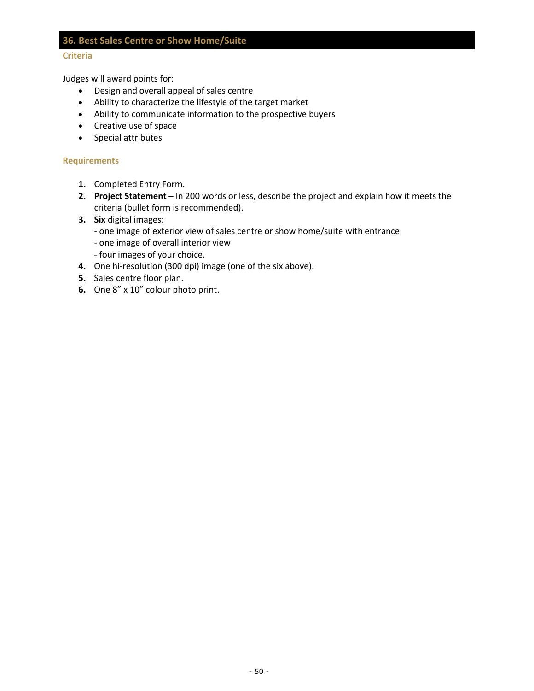## <span id="page-49-1"></span><span id="page-49-0"></span>**36. Best Sales Centre or Show Home/Suite**

#### **Criteria**

Judges will award points for:

- Design and overall appeal of sales centre
- Ability to characterize the lifestyle of the target market
- Ability to communicate information to the prospective buyers
- Creative use of space
- Special attributes

- **1.** Completed Entry Form.
- **2. Project Statement** In 200 words or less, describe the project and explain how it meets the criteria (bullet form is recommended).
- **3. Six** digital images:
	- one image of exterior view of sales centre or show home/suite with entrance
	- one image of overall interior view
	- four images of your choice.
- **4.** One hi-resolution (300 dpi) image (one of the six above).
- **5.** Sales centre floor plan.
- **6.** One 8" x 10" colour photo print.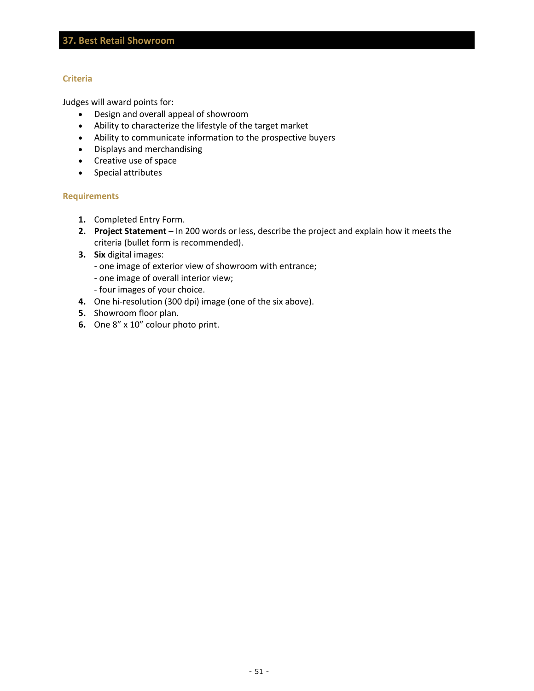#### <span id="page-50-1"></span><span id="page-50-0"></span>**Criteria**

Judges will award points for:

- Design and overall appeal of showroom
- Ability to characterize the lifestyle of the target market
- Ability to communicate information to the prospective buyers
- Displays and merchandising
- Creative use of space
- Special attributes

- **1.** Completed Entry Form.
- **2. Project Statement** In 200 words or less, describe the project and explain how it meets the criteria (bullet form is recommended).
- **3. Six** digital images:
	- one image of exterior view of showroom with entrance;
	- one image of overall interior view;
	- four images of your choice.
- **4.** One hi-resolution (300 dpi) image (one of the six above).
- **5.** Showroom floor plan.
- **6.** One 8" x 10" colour photo print.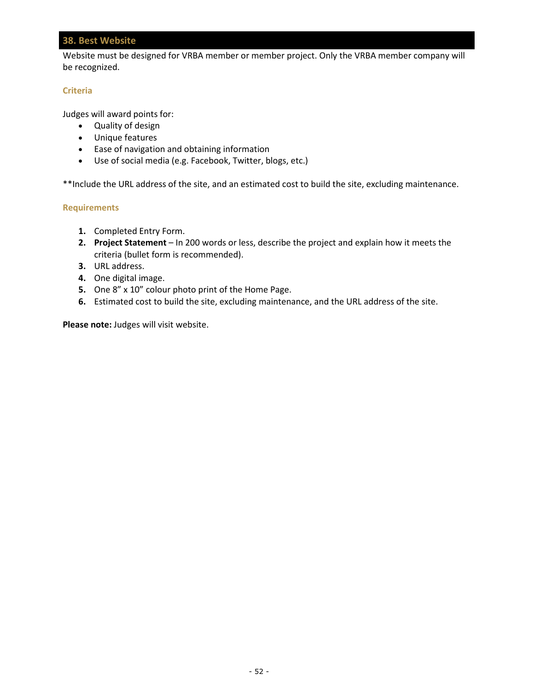#### <span id="page-51-1"></span><span id="page-51-0"></span>**38. Best Website**

Website must be designed for VRBA member or member project. Only the VRBA member company will be recognized.

#### **Criteria**

Judges will award points for:

- Quality of design
- Unique features
- Ease of navigation and obtaining information
- Use of social media (e.g. Facebook, Twitter, blogs, etc.)

\*\*Include the URL address of the site, and an estimated cost to build the site, excluding maintenance.

#### **Requirements**

- **1.** Completed Entry Form.
- **2. Project Statement** In 200 words or less, describe the project and explain how it meets the criteria (bullet form is recommended).
- **3.** URL address.
- **4.** One digital image.
- **5.** One 8" x 10" colour photo print of the Home Page.
- **6.** Estimated cost to build the site, excluding maintenance, and the URL address of the site.

**Please note:** Judges will visit website.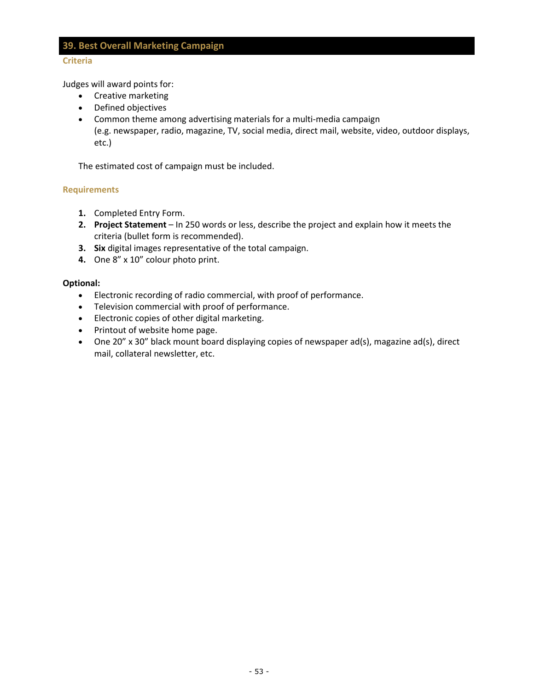#### <span id="page-52-1"></span><span id="page-52-0"></span>**Criteria**

Judges will award points for:

- Creative marketing
- Defined objectives
- Common theme among advertising materials for a multi-media campaign (e.g. newspaper, radio, magazine, TV, social media, direct mail, website, video, outdoor displays, etc.)

The estimated cost of campaign must be included.

#### **Requirements**

- **1.** Completed Entry Form.
- **2. Project Statement** In 250 words or less, describe the project and explain how it meets the criteria (bullet form is recommended).
- **3. Six** digital images representative of the total campaign.
- **4.** One 8" x 10" colour photo print.

#### **Optional:**

- Electronic recording of radio commercial, with proof of performance.
- Television commercial with proof of performance.
- Electronic copies of other digital marketing.
- Printout of website home page.
- One 20" x 30" black mount board displaying copies of newspaper ad(s), magazine ad(s), direct mail, collateral newsletter, etc.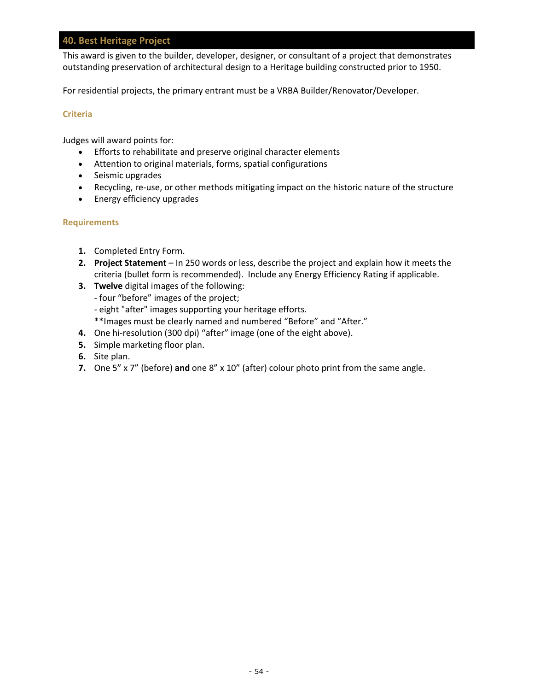#### <span id="page-53-1"></span><span id="page-53-0"></span>**40. Best Heritage Project**

This award is given to the builder, developer, designer, or consultant of a project that demonstrates outstanding preservation of architectural design to a Heritage building constructed prior to 1950.

For residential projects, the primary entrant must be a VRBA Builder/Renovator/Developer.

#### **Criteria**

Judges will award points for:

- Efforts to rehabilitate and preserve original character elements
- Attention to original materials, forms, spatial configurations
- Seismic upgrades
- Recycling, re-use, or other methods mitigating impact on the historic nature of the structure
- Energy efficiency upgrades

- **1.** Completed Entry Form.
- **2. Project Statement** In 250 words or less, describe the project and explain how it meets the criteria (bullet form is recommended). Include any Energy Efficiency Rating if applicable.
- **3. Twelve** digital images of the following:
	- four "before" images of the project;
	- eight "after" images supporting your heritage efforts.
	- \*\*Images must be clearly named and numbered "Before" and "After."
- **4.** One hi-resolution (300 dpi) "after" image (one of the eight above).
- **5.** Simple marketing floor plan.
- **6.** Site plan.
- <span id="page-53-2"></span>**7.** One 5" x 7" (before) **and** one 8" x 10" (after) colour photo print from the same angle.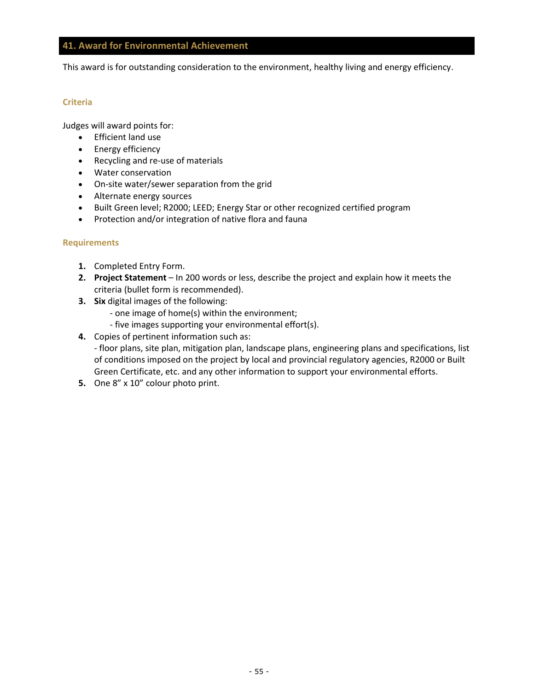## <span id="page-54-0"></span>**41. Award for Environmental Achievement**

This award is for outstanding consideration to the environment, healthy living and energy efficiency.

#### **Criteria**

Judges will award points for:

- Efficient land use
- Energy efficiency
- Recycling and re-use of materials
- Water conservation
- On-site water/sewer separation from the grid
- Alternate energy sources
- Built Green level; R2000; LEED; Energy Star or other recognized certified program
- Protection and/or integration of native flora and fauna

- **1.** Completed Entry Form.
- **2. Project Statement** In 200 words or less, describe the project and explain how it meets the criteria (bullet form is recommended).
- **3. Six** digital images of the following:
	- one image of home(s) within the environment;
	- five images supporting your environmental effort(s).
- **4.** Copies of pertinent information such as: - floor plans, site plan, mitigation plan, landscape plans, engineering plans and specifications, list of conditions imposed on the project by local and provincial regulatory agencies, R2000 or Built Green Certificate, etc. and any other information to support your environmental efforts.
- **5.** One 8" x 10" colour photo print.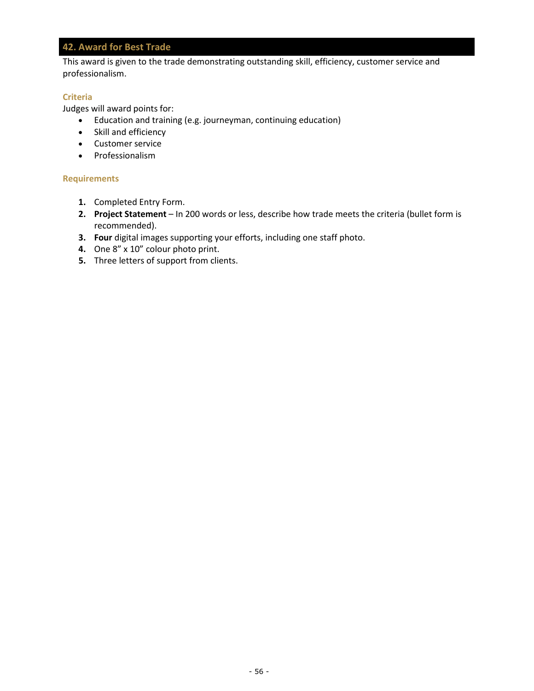## <span id="page-55-0"></span>**42. Award for Best Trade**

This award is given to the trade demonstrating outstanding skill, efficiency, customer service and professionalism.

#### **Criteria**

Judges will award points for:

- Education and training (e.g. journeyman, continuing education)
- Skill and efficiency
- Customer service
- Professionalism

- **1.** Completed Entry Form.
- **2. Project Statement** In 200 words or less, describe how trade meets the criteria (bullet form is recommended).
- **3. Four** digital images supporting your efforts, including one staff photo.
- **4.** One 8" x 10" colour photo print.
- **5.** Three letters of support from clients.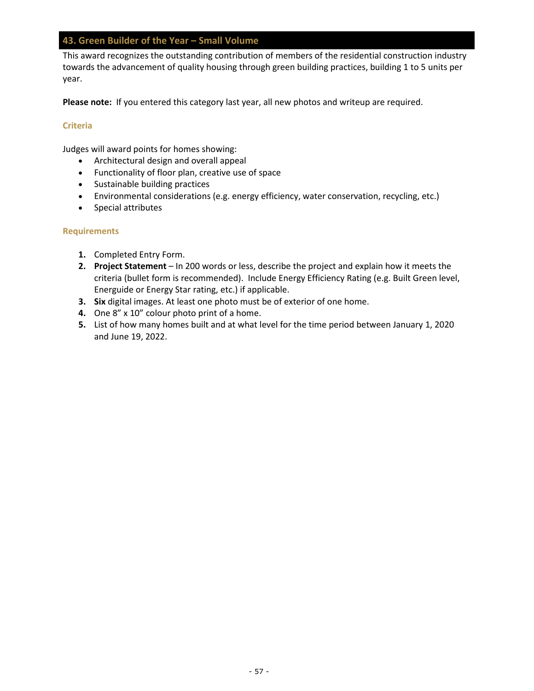## <span id="page-56-0"></span>**43. Green Builder of the Year – Small Volume**

This award recognizes the outstanding contribution of members of the residential construction industry towards the advancement of quality housing through green building practices, building 1 to 5 units per year.

**Please note:** If you entered this category last year, all new photos and writeup are required.

#### **Criteria**

Judges will award points for homes showing:

- Architectural design and overall appeal
- Functionality of floor plan, creative use of space
- Sustainable building practices
- Environmental considerations (e.g. energy efficiency, water conservation, recycling, etc.)
- Special attributes

- **1.** Completed Entry Form.
- **2. Project Statement** In 200 words or less, describe the project and explain how it meets the criteria (bullet form is recommended). Include Energy Efficiency Rating (e.g. Built Green level, Energuide or Energy Star rating, etc.) if applicable.
- **3. Six** digital images. At least one photo must be of exterior of one home.
- **4.** One 8" x 10" colour photo print of a home.
- **5.** List of how many homes built and at what level for the time period between January 1, 2020 and June 19, 2022.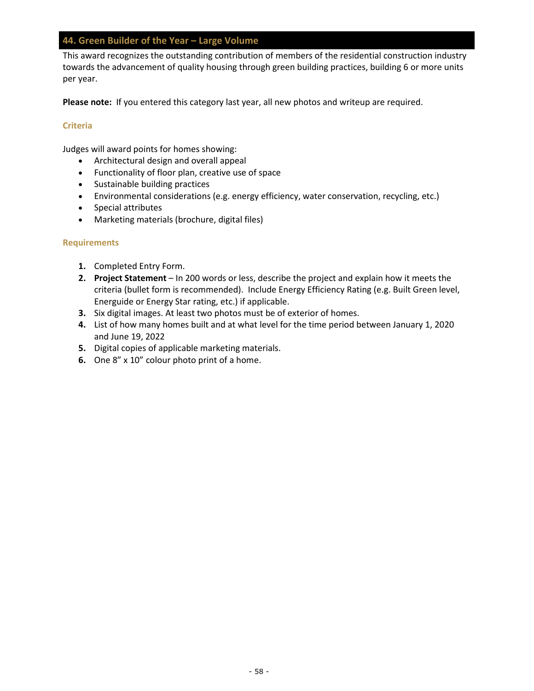## <span id="page-57-1"></span><span id="page-57-0"></span>**44. Green Builder of the Year – Large Volume**

This award recognizes the outstanding contribution of members of the residential construction industry towards the advancement of quality housing through green building practices, building 6 or more units per year.

**Please note:** If you entered this category last year, all new photos and writeup are required.

#### **Criteria**

Judges will award points for homes showing:

- Architectural design and overall appeal
- Functionality of floor plan, creative use of space
- Sustainable building practices
- Environmental considerations (e.g. energy efficiency, water conservation, recycling, etc.)
- Special attributes
- Marketing materials (brochure, digital files)

- **1.** Completed Entry Form.
- **2. Project Statement** In 200 words or less, describe the project and explain how it meets the criteria (bullet form is recommended). Include Energy Efficiency Rating (e.g. Built Green level, Energuide or Energy Star rating, etc.) if applicable.
- **3.** Six digital images. At least two photos must be of exterior of homes.
- **4.** List of how many homes built and at what level for the time period between January 1, 2020 and June 19, 2022
- **5.** Digital copies of applicable marketing materials.
- <span id="page-57-2"></span>**6.** One 8" x 10" colour photo print of a home.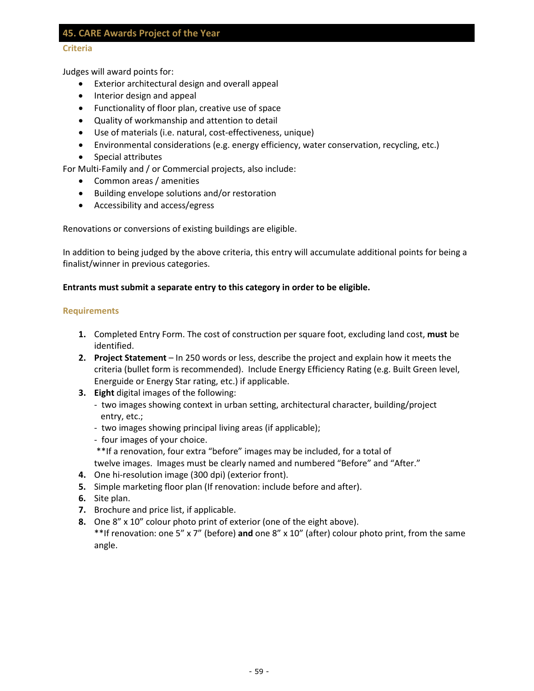#### <span id="page-58-0"></span>**Criteria**

Judges will award points for:

- Exterior architectural design and overall appeal
- Interior design and appeal
- Functionality of floor plan, creative use of space
- Quality of workmanship and attention to detail
- Use of materials (i.e. natural, cost-effectiveness, unique)
- Environmental considerations (e.g. energy efficiency, water conservation, recycling, etc.)
- Special attributes

For Multi-Family and / or Commercial projects, also include:

- Common areas / amenities
- Building envelope solutions and/or restoration
- Accessibility and access/egress

Renovations or conversions of existing buildings are eligible.

In addition to being judged by the above criteria, this entry will accumulate additional points for being a finalist/winner in previous categories.

#### **Entrants must submit a separate entry to this category in order to be eligible.**

#### **Requirements**

- **1.** Completed Entry Form. The cost of construction per square foot, excluding land cost, **must** be identified.
- **2. Project Statement** In 250 words or less, describe the project and explain how it meets the criteria (bullet form is recommended). Include Energy Efficiency Rating (e.g. Built Green level, Energuide or Energy Star rating, etc.) if applicable.
- **3. Eight** digital images of the following:
	- two images showing context in urban setting, architectural character, building/project entry, etc.;
	- two images showing principal living areas (if applicable);
	- four images of your choice.
	- \*\*If a renovation, four extra "before" images may be included, for a total of

twelve images. Images must be clearly named and numbered "Before" and "After."

- **4.** One hi-resolution image (300 dpi) (exterior front).
- **5.** Simple marketing floor plan (If renovation: include before and after).
- **6.** Site plan.
- **7.** Brochure and price list, if applicable.
- **8.** One 8" x 10" colour photo print of exterior (one of the eight above).

<span id="page-58-1"></span>\*\*If renovation: one 5" x 7" (before) **and** one 8" x 10" (after) colour photo print, from the same angle.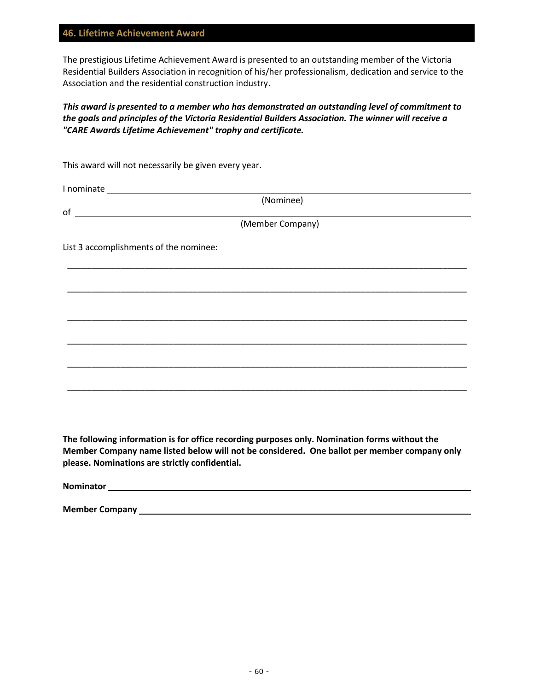#### <span id="page-59-0"></span>**46. Lifetime Achievement Award**

The prestigious Lifetime Achievement Award is presented to an outstanding member of the Victoria Residential Builders Association in recognition of his/her professionalism, dedication and service to the Association and the residential construction industry.

## *This award is presented to a member who has demonstrated an outstanding level of commitment to the goals and principles of the Victoria Residential Builders Association. The winner will receive a "CARE Awards Lifetime Achievement" trophy and certificate.*

This award will not necessarily be given every year.

I nominate

(Nominee)

of <u>services</u> and the service of the service of the service of the series of the series of the series of the series of the series of the series of the series of the series of the series of the series of the series of the s

(Member Company)

\_\_\_\_\_\_\_\_\_\_\_\_\_\_\_\_\_\_\_\_\_\_\_\_\_\_\_\_\_\_\_\_\_\_\_\_\_\_\_\_\_\_\_\_\_\_\_\_\_\_\_\_\_\_\_\_\_\_\_\_\_\_\_\_\_\_\_\_\_\_\_\_\_\_\_\_\_\_\_\_\_\_\_

\_\_\_\_\_\_\_\_\_\_\_\_\_\_\_\_\_\_\_\_\_\_\_\_\_\_\_\_\_\_\_\_\_\_\_\_\_\_\_\_\_\_\_\_\_\_\_\_\_\_\_\_\_\_\_\_\_\_\_\_\_\_\_\_\_\_\_\_\_\_\_\_\_\_\_\_\_\_\_\_\_\_\_

\_\_\_\_\_\_\_\_\_\_\_\_\_\_\_\_\_\_\_\_\_\_\_\_\_\_\_\_\_\_\_\_\_\_\_\_\_\_\_\_\_\_\_\_\_\_\_\_\_\_\_\_\_\_\_\_\_\_\_\_\_\_\_\_\_\_\_\_\_\_\_\_\_\_\_\_\_\_\_\_\_\_\_

\_\_\_\_\_\_\_\_\_\_\_\_\_\_\_\_\_\_\_\_\_\_\_\_\_\_\_\_\_\_\_\_\_\_\_\_\_\_\_\_\_\_\_\_\_\_\_\_\_\_\_\_\_\_\_\_\_\_\_\_\_\_\_\_\_\_\_\_\_\_\_\_\_\_\_\_\_\_\_\_\_\_\_

\_\_\_\_\_\_\_\_\_\_\_\_\_\_\_\_\_\_\_\_\_\_\_\_\_\_\_\_\_\_\_\_\_\_\_\_\_\_\_\_\_\_\_\_\_\_\_\_\_\_\_\_\_\_\_\_\_\_\_\_\_\_\_\_\_\_\_\_\_\_\_\_\_\_\_\_\_\_\_\_\_\_\_

\_\_\_\_\_\_\_\_\_\_\_\_\_\_\_\_\_\_\_\_\_\_\_\_\_\_\_\_\_\_\_\_\_\_\_\_\_\_\_\_\_\_\_\_\_\_\_\_\_\_\_\_\_\_\_\_\_\_\_\_\_\_\_\_\_\_\_\_\_\_\_\_\_\_\_\_\_\_\_\_\_\_\_

List 3 accomplishments of the nominee:

**The following information is for office recording purposes only. Nomination forms without the Member Company name listed below will not be considered. One ballot per member company only please. Nominations are strictly confidential.**

**Nominator** 

**Member Company**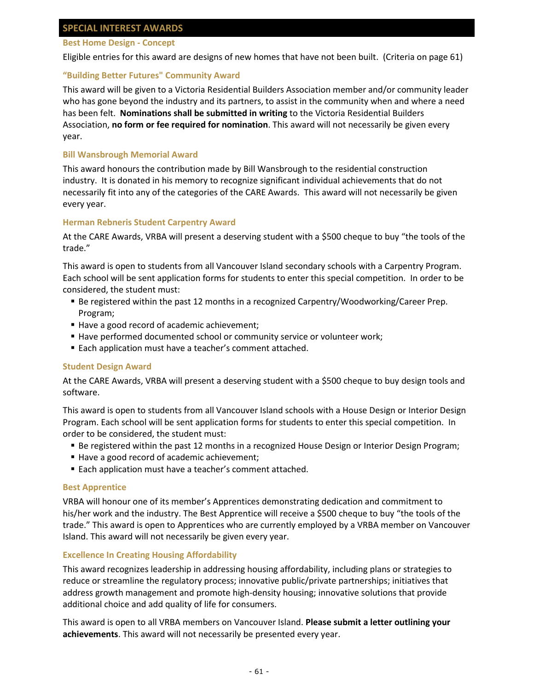## <span id="page-60-0"></span>**SPECIAL INTEREST AWARDS**

#### **Best Home Design - Concept**

Eligible entries for this award are designs of new homes that have not been built. (Criteria on page 61)

#### **"Building Better Futures" Community Award**

This award will be given to a Victoria Residential Builders Association member and/or community leader who has gone beyond the industry and its partners, to assist in the community when and where a need has been felt. **Nominations shall be submitted in writing** to the Victoria Residential Builders Association, **no form or fee required for nomination**. This award will not necessarily be given every year.

#### **Bill Wansbrough Memorial Award**

This award honours the contribution made by Bill Wansbrough to the residential construction industry. It is donated in his memory to recognize significant individual achievements that do not necessarily fit into any of the categories of the CARE Awards. This award will not necessarily be given every year.

#### **Herman Rebneris Student Carpentry Award**

At the CARE Awards, VRBA will present a deserving student with a \$500 cheque to buy "the tools of the trade."

This award is open to students from all Vancouver Island secondary schools with a Carpentry Program. Each school will be sent application forms for students to enter this special competition. In order to be considered, the student must:

- Be registered within the past 12 months in a recognized Carpentry/Woodworking/Career Prep. Program;
- Have a good record of academic achievement;
- Have performed documented school or community service or volunteer work;
- Each application must have a teacher's comment attached.

#### **Student Design Award**

At the CARE Awards, VRBA will present a deserving student with a \$500 cheque to buy design tools and software.

This award is open to students from all Vancouver Island schools with a House Design or Interior Design Program. Each school will be sent application forms for students to enter this special competition. In order to be considered, the student must:

- **Be registered within the past 12 months in a recognized House Design or Interior Design Program;**
- Have a good record of academic achievement;
- Each application must have a teacher's comment attached.

#### **Best Apprentice**

VRBA will honour one of its member's Apprentices demonstrating dedication and commitment to his/her work and the industry. The Best Apprentice will receive a \$500 cheque to buy "the tools of the trade." This award is open to Apprentices who are currently employed by a VRBA member on Vancouver Island. This award will not necessarily be given every year.

#### **Excellence In Creating Housing Affordability**

This award recognizes leadership in addressing housing affordability, including plans or strategies to reduce or streamline the regulatory process; innovative public/private partnerships; initiatives that address growth management and promote high-density housing; innovative solutions that provide additional choice and add quality of life for consumers.

This award is open to all VRBA members on Vancouver Island. **Please submit a letter outlining your achievements**. This award will not necessarily be presented every year.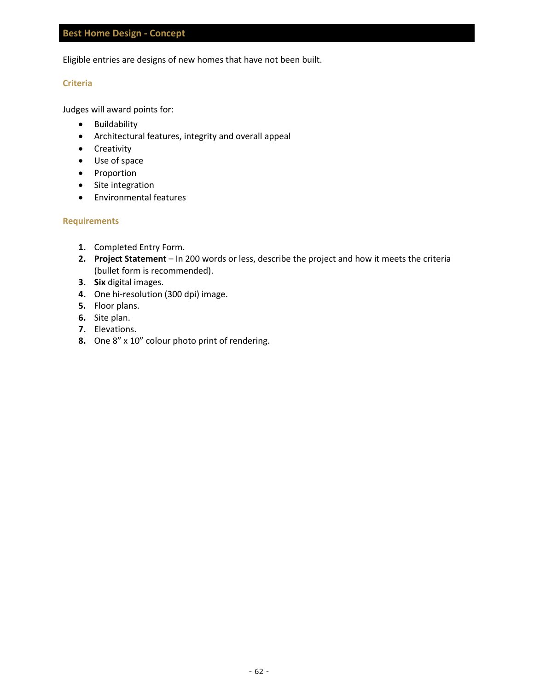<span id="page-61-0"></span>Eligible entries are designs of new homes that have not been built.

#### **Criteria**

Judges will award points for:

- Buildability
- Architectural features, integrity and overall appeal
- Creativity
- Use of space
- Proportion
- Site integration
- Environmental features

- **1.** Completed Entry Form.
- **2. Project Statement**  In 200 words or less, describe the project and how it meets the criteria (bullet form is recommended).
- **3. Six** digital images.
- **4.** One hi-resolution (300 dpi) image.
- **5.** Floor plans.
- **6.** Site plan.
- **7.** Elevations.
- **8.** One 8" x 10" colour photo print of rendering.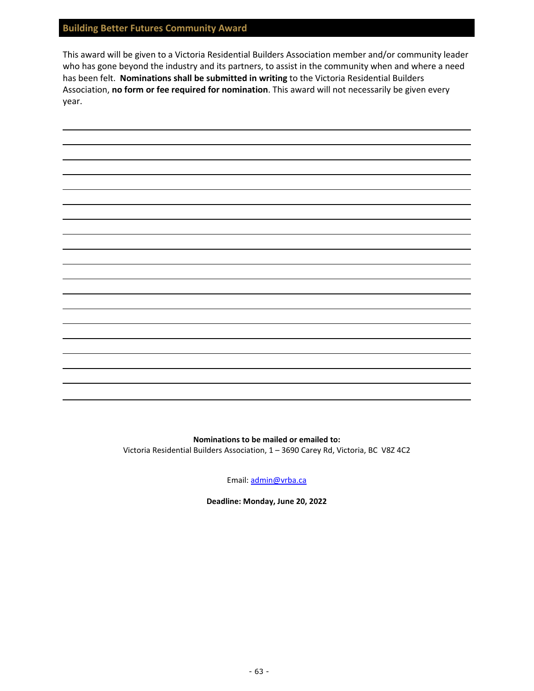#### <span id="page-62-0"></span>**Building Better Futures Community Award**

This award will be given to a Victoria Residential Builders Association member and/or community leader who has gone beyond the industry and its partners, to assist in the community when and where a need has been felt. **Nominations shall be submitted in writing** to the Victoria Residential Builders Association, **no form or fee required for nomination**. This award will not necessarily be given every year.

> **Nominations to be mailed or emailed to:**  Victoria Residential Builders Association, 1 – 3690 Carey Rd, Victoria, BC V8Z 4C2

> > Email[: admin@vrba.ca](mailto:info@chbavictoria.com)

**Deadline: Monday, June 20, 2022**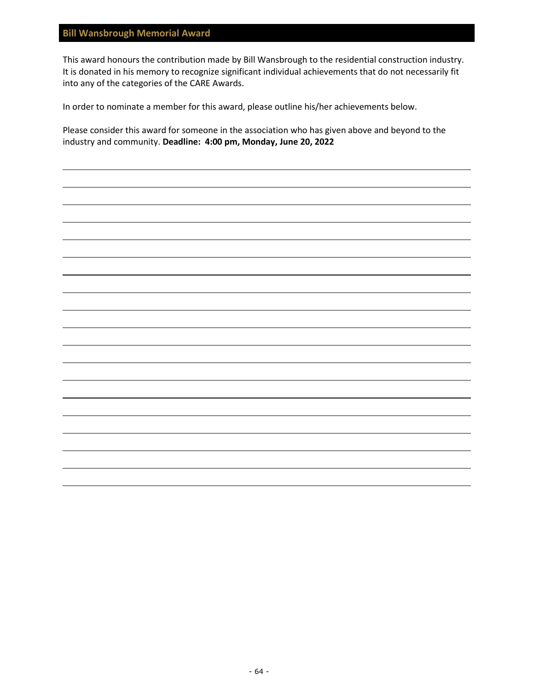<span id="page-63-0"></span>This award honours the contribution made by Bill Wansbrough to the residential construction industry. It is donated in his memory to recognize significant individual achievements that do not necessarily fit into any of the categories of the CARE Awards.

In order to nominate a member for this award, please outline his/her achievements below.

Please consider this award for someone in the association who has given above and beyond to the industry and community. **Deadline: 4:00 pm, Monday, June 20, 2022**

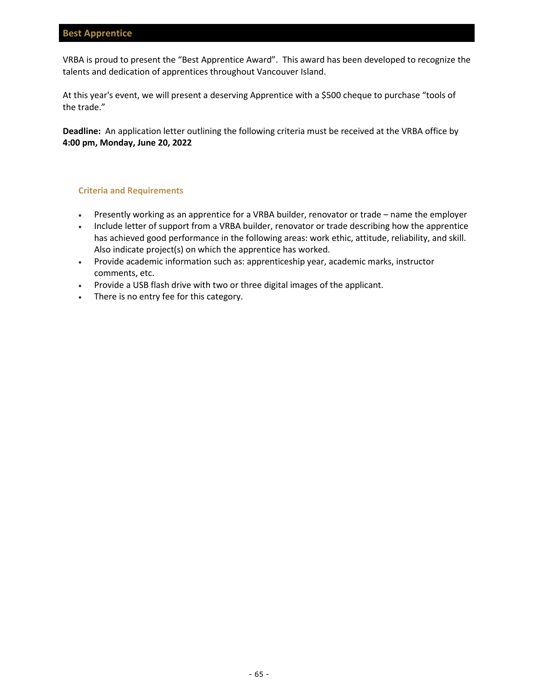<span id="page-64-0"></span>VRBA is proud to present the "Best Apprentice Award". This award has been developed to recognize the talents and dedication of apprentices throughout Vancouver Island.

At this year's event, we will present a deserving Apprentice with a \$500 cheque to purchase "tools of the trade."

**Deadline:** An application letter outlining the following criteria must be received at the VRBA office by **4:00 pm, Monday, June 20, 2022**

#### **Criteria and Requirements**

- Presently working as an apprentice for a VRBA builder, renovator or trade name the employer
- Include letter of support from a VRBA builder, renovator or trade describing how the apprentice has achieved good performance in the following areas: work ethic, attitude, reliability, and skill. Also indicate project(s) on which the apprentice has worked.
- Provide academic information such as: apprenticeship year, academic marks, instructor comments, etc.
- Provide a USB flash drive with two or three digital images of the applicant.
- There is no entry fee for this category.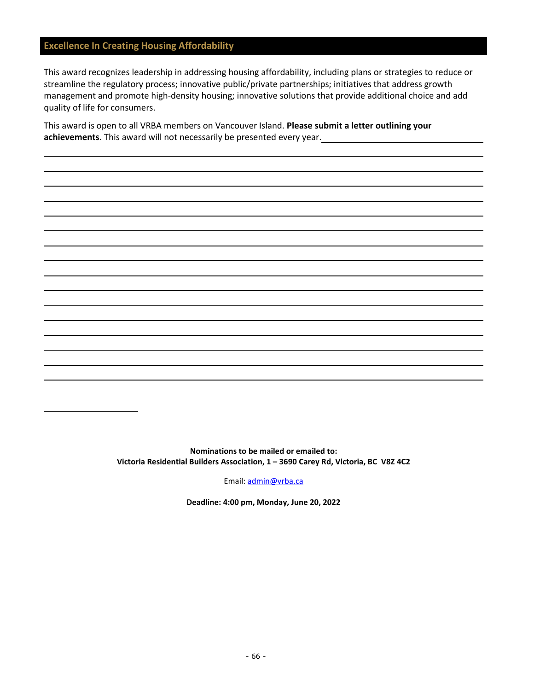## <span id="page-65-0"></span>**Excellence In Creating Housing Affordability**

 $\overline{\phantom{0}}$ 

This award recognizes leadership in addressing housing affordability, including plans or strategies to reduce or streamline the regulatory process; innovative public/private partnerships; initiatives that address growth management and promote high-density housing; innovative solutions that provide additional choice and add quality of life for consumers.

This award is open to all VRBA members on Vancouver Island. **Please submit a letter outlining your achievements**. This award will not necessarily be presented every year.

> **Nominations to be mailed or emailed to: Victoria Residential Builders Association, 1 – 3690 Carey Rd, Victoria, BC V8Z 4C2**

> > Email: [admin@vrba.ca](mailto:info@chbavictoria.com)

**Deadline: 4:00 pm, Monday, June 20, 2022**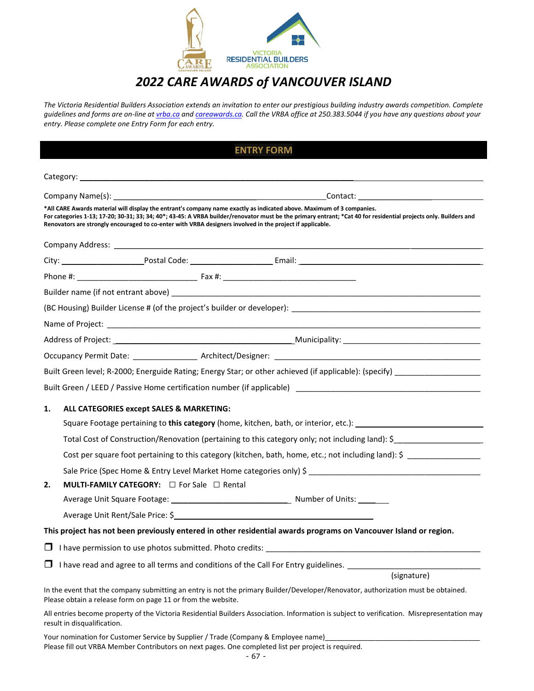

## *2022 CARE AWARDS of VANCOUVER ISLAND*

*The Victoria Residential Builders Association extends an invitation to enter our prestigious building industry awards competition. Complete guidelines and forms are on-line a[t vrba.ca](http://vrba.ca/) an[d careawards.ca.](https://careawards.ca/) Call the VRBA office at 250.383.5044 if you have any questions about your entry. Please complete one Entry Form for each entry.* 

<span id="page-66-0"></span>

|    | <b>ENTRY FORM</b>                                                                                                                                                                                                                                                             |
|----|-------------------------------------------------------------------------------------------------------------------------------------------------------------------------------------------------------------------------------------------------------------------------------|
|    | Category: the contract of the contract of the contract of the contract of the contract of the contract of the contract of the contract of the contract of the contract of the contract of the contract of the contract of the                                                 |
|    |                                                                                                                                                                                                                                                                               |
|    | *All CARE Awards material will display the entrant's company name exactly as indicated above. Maximum of 3 companies.                                                                                                                                                         |
|    | For categories 1-13; 17-20; 30-31; 33; 34; 40*; 43-45: A VRBA builder/renovator must be the primary entrant; *Cat 40 for residential projects only. Builders and<br>Renovators are strongly encouraged to co-enter with VRBA designers involved in the project if applicable. |
|    |                                                                                                                                                                                                                                                                               |
|    |                                                                                                                                                                                                                                                                               |
|    |                                                                                                                                                                                                                                                                               |
|    |                                                                                                                                                                                                                                                                               |
|    |                                                                                                                                                                                                                                                                               |
|    |                                                                                                                                                                                                                                                                               |
|    |                                                                                                                                                                                                                                                                               |
|    |                                                                                                                                                                                                                                                                               |
|    |                                                                                                                                                                                                                                                                               |
|    | Built Green level; R-2000; Energuide Rating; Energy Star; or other achieved (if applicable): (specify)                                                                                                                                                                        |
|    |                                                                                                                                                                                                                                                                               |
| 1. | ALL CATEGORIES except SALES & MARKETING:                                                                                                                                                                                                                                      |
|    | Square Footage pertaining to this category (home, kitchen, bath, or interior, etc.): _________________________                                                                                                                                                                |
|    | Total Cost of Construction/Renovation (pertaining to this category only; not including land): \$                                                                                                                                                                              |
|    | Cost per square foot pertaining to this category (kitchen, bath, home, etc.; not including land): \$                                                                                                                                                                          |
|    |                                                                                                                                                                                                                                                                               |
| 2. | <b>MULTI-FAMILY CATEGORY:</b> $\Box$ For Sale $\Box$ Rental                                                                                                                                                                                                                   |
|    |                                                                                                                                                                                                                                                                               |
|    |                                                                                                                                                                                                                                                                               |
|    | This project has not been previously entered in other residential awards programs on Vancouver Island or region.                                                                                                                                                              |
| ◡  |                                                                                                                                                                                                                                                                               |
| ப  | I have read and agree to all terms and conditions of the Call For Entry guidelines.                                                                                                                                                                                           |
|    | (signature)                                                                                                                                                                                                                                                                   |
|    | In the event that the company submitting an entry is not the primary Builder/Developer/Renovator, authorization must be obtained.<br>Please obtain a release form on page 11 or from the website.                                                                             |
|    | All entries become property of the Victoria Residential Builders Association. Information is subject to verification. Misrepresentation may<br>result in disqualification.                                                                                                    |
|    |                                                                                                                                                                                                                                                                               |

Your nomination for Customer Service by Supplier / Trade (Company & Employee name) Please fill out VRBA Member Contributors on next pages. One completed list per project is required.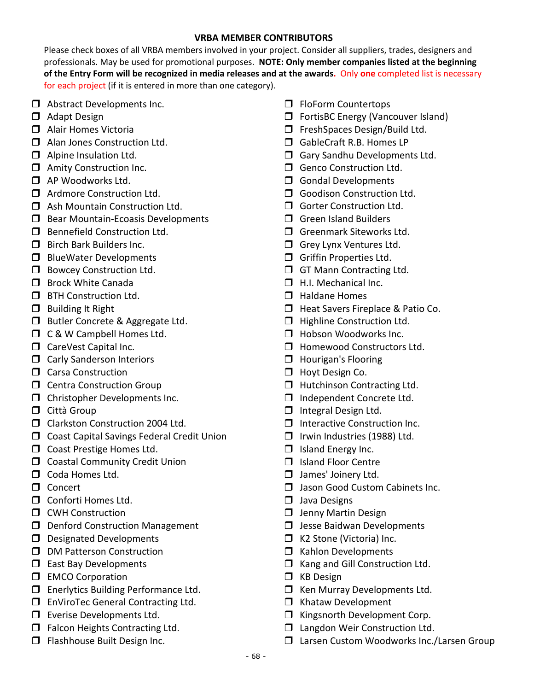## **VRBA MEMBER CONTRIBUTORS**

Please check boxes of all VRBA members involved in your project. Consider all suppliers, trades, designers and professionals. May be used for promotional purposes. **NOTE: Only member companies listed at the beginning of the Entry Form will be recognized in media releases and at the awards.** Only **one** completed list is necessary for each project (if it is entered in more than one category).

- $\Box$  Abstract Developments Inc.
- **D** Adapt Design
- □ Alair Homes Victoria
- **I** Alan Jones Construction Ltd.
- $\Box$  Alpine Insulation Ltd.
- $\Box$  Amity Construction Inc.
- AP Woodworks Ltd.
- Ardmore Construction Ltd.
- □ Ash Mountain Construction Ltd.
- $\Box$  Bear Mountain-Ecoasis Developments
- **Bennefield Construction Ltd.**
- $\Box$  Birch Bark Builders Inc.
- **BlueWater Developments**
- **Bowcey Construction Ltd.**
- $\square$  Brock White Canada
- **D** BTH Construction Ltd.
- $\Box$  Building It Right
- **Butler Concrete & Aggregate Ltd.**
- **T** C & W Campbell Homes Ltd.
- CareVest Capital Inc.
- **Carly Sanderson Interiors**
- Carsa Construction
- **C** Centra Construction Group
- Christopher Developments Inc.
- $\Box$  Città Group
- Clarkston Construction 2004 Ltd.
- **D** Coast Capital Savings Federal Credit Union
- Coast Prestige Homes Ltd.
- **COASTAL COMMUNITY Credit Union**
- Coda Homes Ltd.
- Concert
- **D** Conforti Homes Ltd.
- **D** CWH Construction
- D Denford Construction Management
- $\square$  Designated Developments
- D DM Patterson Construction
- $\Box$  East Bay Developments
- **EMCO** Corporation
- **Enerlytics Building Performance Ltd.**
- □ EnViroTec General Contracting Ltd.
- **Exerise Developments Ltd.**
- $\Box$  Falcon Heights Contracting Ltd.
- **T** Flashhouse Built Design Inc.
- **FloForm Countertops**
- □ FortisBC Energy (Vancouver Island)
- FreshSpaces Design/Build Ltd.
- □ GableCraft R.B. Homes LP
- Gary Sandhu Developments Ltd.
- Genco Construction Ltd.
- Gondal Developments
- Goodison Construction Ltd.
- Gorter Construction Ltd.
- $\Box$  Green Island Builders
- Greenmark Siteworks Ltd.
- Grey Lynx Ventures Ltd.
- Griffin Properties Ltd.
- **GT Mann Contracting Ltd.**
- □ H.I. Mechanical Inc.
- **Haldane Homes**
- **Heat Savers Fireplace & Patio Co.**
- **Highline Construction Ltd.**
- **Hobson Woodworks Inc.**
- **Homewood Constructors Ltd.**
- **Hourigan's Flooring**
- **Hoyt Design Co.**
- $\Box$  Hutchinson Contracting Ltd.
- □ Independent Concrete Ltd.
- $\Box$  Integral Design Ltd.
- $\Box$  Interactive Construction Inc.
- $\Box$  Irwin Industries (1988) Ltd.
- $\Box$  Island Energy Inc.
- □ Island Floor Centre
- **James' Joinery Ltd.**
- **Jason Good Custom Cabinets Inc.**
- $\Box$  Java Designs
- **J** Jenny Martin Design
- $\Box$  Jesse Baidwan Developments
- $\Box$  K2 Stone (Victoria) Inc.
- **I** Kahlon Developments
- $\Box$  Kang and Gill Construction Ltd.
- **D** KB Design
- $\Box$  Ken Murray Developments Ltd.
- $\Box$  Khataw Development
- $\Box$  Kingsnorth Development Corp.
- □ Langdon Weir Construction Ltd.
- □ Larsen Custom Woodworks Inc./Larsen Group